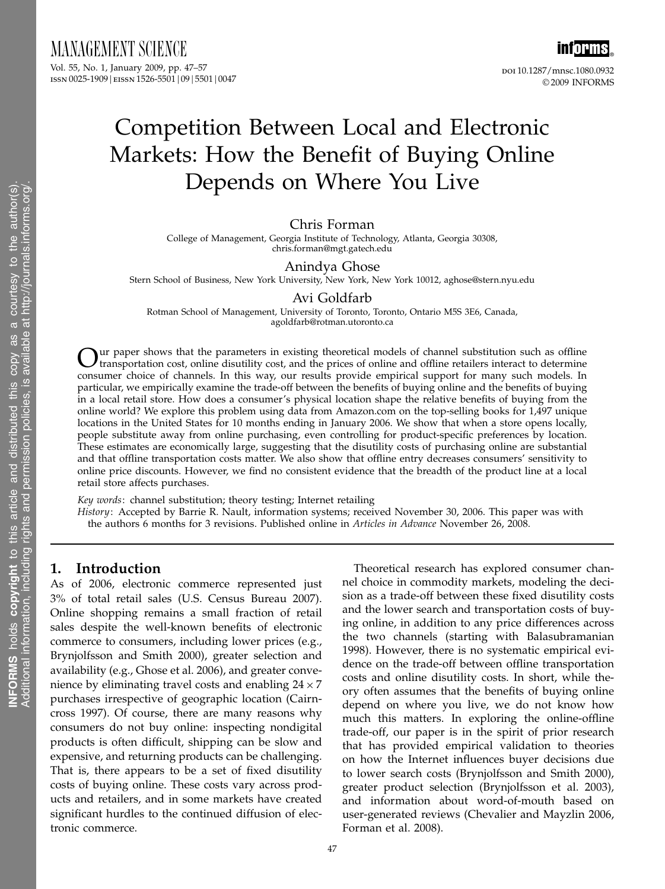

ISSN 0025-1909 | EISSN 1526-5501 | 09 | 5501 | 0047

inf<mark>orms</mark>。 doi 10.1287/mnsc.1080.0932 © 2009 INFORMS

# Competition Between Local and Electronic Markets: How the Benefit of Buying Online Depends on Where You Live

## Chris Forman

College of Management, Georgia Institute of Technology, Atlanta, Georgia 30308, chris.forman@mgt.gatech.edu

### Anindya Ghose

Stern School of Business, New York University, New York, New York 10012, aghose@stern.nyu.edu

#### Avi Goldfarb

Rotman School of Management, University of Toronto, Toronto, Ontario M5S 3E6, Canada, agoldfarb@rotman.utoronto.ca

Our paper shows that the parameters in existing theoretical models of channel substitution such as offline transportation cost, online disutility cost, and the prices of online and offline retailers interact to determine consumer choice of channels. In this way, our results provide empirical support for many such models. In particular, we empirically examine the trade-off between the benefits of buying online and the benefits of buying in a local retail store. How does a consumer's physical location shape the relative benefits of buying from the online world? We explore this problem using data from Amazon.com on the top-selling books for 1,497 unique locations in the United States for 10 months ending in January 2006. We show that when a store opens locally, people substitute away from online purchasing, even controlling for product-specific preferences by location. These estimates are economically large, suggesting that the disutility costs of purchasing online are substantial and that offline transportation costs matter. We also show that offline entry decreases consumers' sensitivity to online price discounts. However, we find no consistent evidence that the breadth of the product line at a local retail store affects purchases.

Key words: channel substitution; theory testing; Internet retailing History: Accepted by Barrie R. Nault, information systems; received November 30, 2006. This paper was with the authors 6 months for 3 revisions. Published online in Articles in Advance November 26, 2008.

## 1. Introduction

As of 2006, electronic commerce represented just 3% of total retail sales (U.S. Census Bureau 2007). Online shopping remains a small fraction of retail sales despite the well-known benefits of electronic commerce to consumers, including lower prices (e.g., Brynjolfsson and Smith 2000), greater selection and availability (e.g., Ghose et al. 2006), and greater convenience by eliminating travel costs and enabling  $24 \times 7$ purchases irrespective of geographic location (Cairncross 1997). Of course, there are many reasons why consumers do not buy online: inspecting nondigital products is often difficult, shipping can be slow and expensive, and returning products can be challenging. That is, there appears to be a set of fixed disutility costs of buying online. These costs vary across products and retailers, and in some markets have created significant hurdles to the continued diffusion of electronic commerce.

Theoretical research has explored consumer channel choice in commodity markets, modeling the decision as a trade-off between these fixed disutility costs and the lower search and transportation costs of buying online, in addition to any price differences across the two channels (starting with Balasubramanian 1998). However, there is no systematic empirical evidence on the trade-off between offline transportation costs and online disutility costs. In short, while theory often assumes that the benefits of buying online depend on where you live, we do not know how much this matters. In exploring the online-offline trade-off, our paper is in the spirit of prior research that has provided empirical validation to theories on how the Internet influences buyer decisions due to lower search costs (Brynjolfsson and Smith 2000), greater product selection (Brynjolfsson et al. 2003), and information about word-of-mouth based on user-generated reviews (Chevalier and Mayzlin 2006, Forman et al. 2008).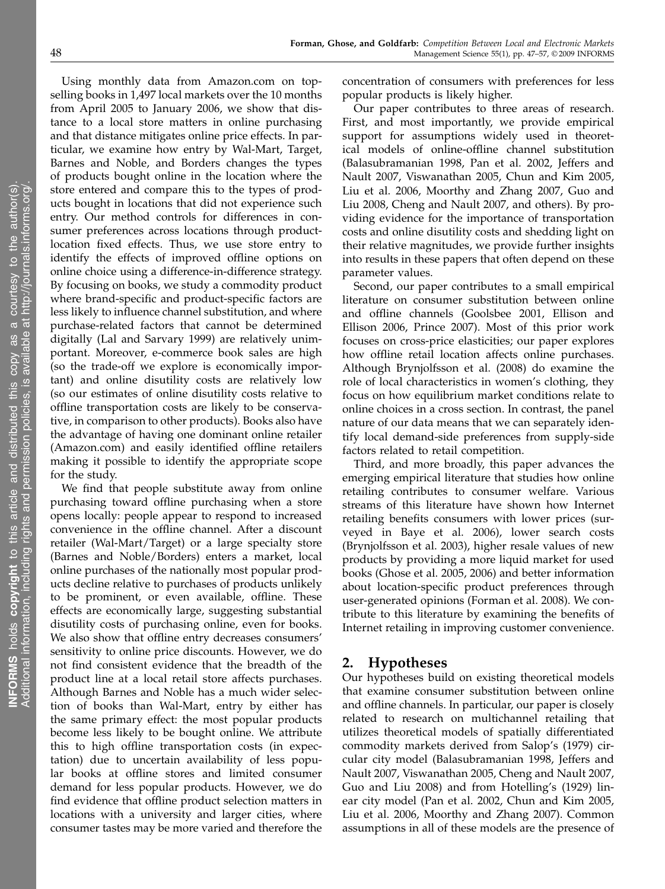Using monthly data from Amazon.com on topselling books in 1,497 local markets over the 10 months from April 2005 to January 2006, we show that distance to a local store matters in online purchasing and that distance mitigates online price effects. In particular, we examine how entry by Wal-Mart, Target, Barnes and Noble, and Borders changes the types of products bought online in the location where the store entered and compare this to the types of products bought in locations that did not experience such entry. Our method controls for differences in consumer preferences across locations through productlocation fixed effects. Thus, we use store entry to identify the effects of improved offline options on online choice using a difference-in-difference strategy. By focusing on books, we study a commodity product where brand-specific and product-specific factors are less likely to influence channel substitution, and where purchase-related factors that cannot be determined digitally (Lal and Sarvary 1999) are relatively unimportant. Moreover, e-commerce book sales are high (so the trade-off we explore is economically important) and online disutility costs are relatively low (so our estimates of online disutility costs relative to offline transportation costs are likely to be conservative, in comparison to other products). Books also have the advantage of having one dominant online retailer

making it possible to identify the appropriate scope for the study. We find that people substitute away from online purchasing toward offline purchasing when a store opens locally: people appear to respond to increased convenience in the offline channel. After a discount retailer (Wal-Mart/Target) or a large specialty store (Barnes and Noble/Borders) enters a market, local online purchases of the nationally most popular products decline relative to purchases of products unlikely to be prominent, or even available, offline. These effects are economically large, suggesting substantial disutility costs of purchasing online, even for books. We also show that offline entry decreases consumers' sensitivity to online price discounts. However, we do not find consistent evidence that the breadth of the product line at a local retail store affects purchases. Although Barnes and Noble has a much wider selection of books than Wal-Mart, entry by either has the same primary effect: the most popular products become less likely to be bought online. We attribute this to high offline transportation costs (in expectation) due to uncertain availability of less popular books at offline stores and limited consumer demand for less popular products. However, we do find evidence that offline product selection matters in locations with a university and larger cities, where consumer tastes may be more varied and therefore the

concentration of consumers with preferences for less

popular products is likely higher. Our paper contributes to three areas of research. First, and most importantly, we provide empirical support for assumptions widely used in theoretical models of online-offline channel substitution (Balasubramanian 1998, Pan et al. 2002, Jeffers and Nault 2007, Viswanathan 2005, Chun and Kim 2005, Liu et al. 2006, Moorthy and Zhang 2007, Guo and Liu 2008, Cheng and Nault 2007, and others). By providing evidence for the importance of transportation costs and online disutility costs and shedding light on their relative magnitudes, we provide further insights into results in these papers that often depend on these parameter values.

Second, our paper contributes to a small empirical literature on consumer substitution between online and offline channels (Goolsbee 2001, Ellison and Ellison 2006, Prince 2007). Most of this prior work focuses on cross-price elasticities; our paper explores how offline retail location affects online purchases. Although Brynjolfsson et al. (2008) do examine the role of local characteristics in women's clothing, they focus on how equilibrium market conditions relate to online choices in a cross section. In contrast, the panel nature of our data means that we can separately identify local demand-side preferences from supply-side factors related to retail competition.

Third, and more broadly, this paper advances the emerging empirical literature that studies how online retailing contributes to consumer welfare. Various streams of this literature have shown how Internet retailing benefits consumers with lower prices (surveyed in Baye et al. 2006), lower search costs (Brynjolfsson et al. 2003), higher resale values of new products by providing a more liquid market for used books (Ghose et al. 2005, 2006) and better information about location-specific product preferences through user-generated opinions (Forman et al. 2008). We contribute to this literature by examining the benefits of Internet retailing in improving customer convenience.

## 2. Hypotheses

Our hypotheses build on existing theoretical models that examine consumer substitution between online and offline channels. In particular, our paper is closely related to research on multichannel retailing that utilizes theoretical models of spatially differentiated commodity markets derived from Salop's (1979) circular city model (Balasubramanian 1998, Jeffers and Nault 2007, Viswanathan 2005, Cheng and Nault 2007, Guo and Liu 2008) and from Hotelling's (1929) linear city model (Pan et al. 2002, Chun and Kim 2005, Liu et al. 2006, Moorthy and Zhang 2007). Common assumptions in all of these models are the presence of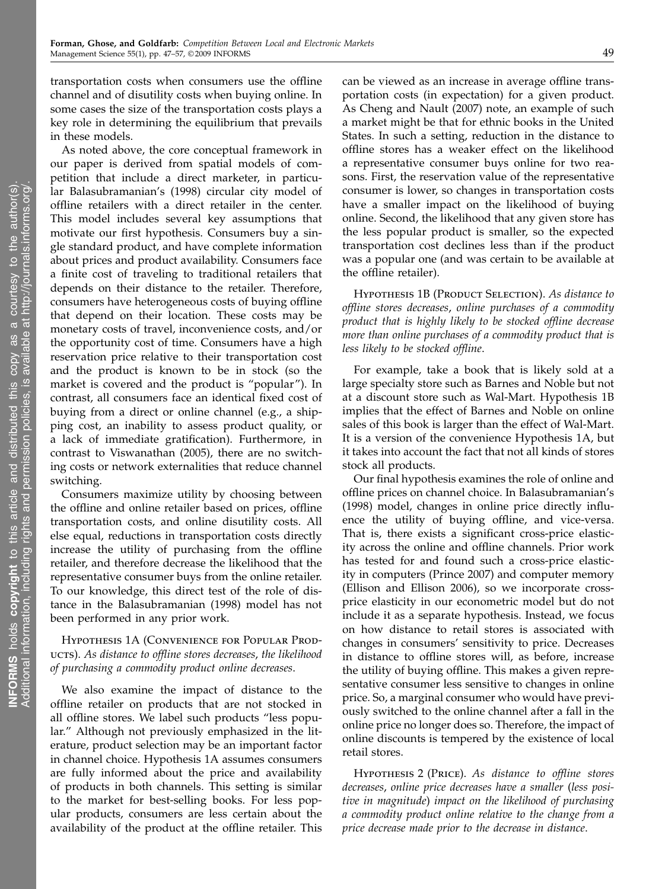transportation costs when consumers use the offline channel and of disutility costs when buying online. In some cases the size of the transportation costs plays a key role in determining the equilibrium that prevails in these models.

As noted above, the core conceptual framework in our paper is derived from spatial models of competition that include a direct marketer, in particular Balasubramanian's (1998) circular city model of offline retailers with a direct retailer in the center. This model includes several key assumptions that motivate our first hypothesis. Consumers buy a single standard product, and have complete information about prices and product availability. Consumers face a finite cost of traveling to traditional retailers that depends on their distance to the retailer. Therefore, consumers have heterogeneous costs of buying offline that depend on their location. These costs may be monetary costs of travel, inconvenience costs, and/or the opportunity cost of time. Consumers have a high reservation price relative to their transportation cost and the product is known to be in stock (so the market is covered and the product is "popular"). In contrast, all consumers face an identical fixed cost of buying from a direct or online channel (e.g., a shipping cost, an inability to assess product quality, or a lack of immediate gratification). Furthermore, in contrast to Viswanathan (2005), there are no switching costs or network externalities that reduce channel switching.

Consumers maximize utility by choosing between the offline and online retailer based on prices, offline transportation costs, and online disutility costs. All else equal, reductions in transportation costs directly increase the utility of purchasing from the offline retailer, and therefore decrease the likelihood that the representative consumer buys from the online retailer. To our knowledge, this direct test of the role of distance in the Balasubramanian (1998) model has not been performed in any prior work.

## Hypothesis 1A (Convenience for Popular Producrs). As distance to offline stores decreases, the likelihood of purchasing a commodity product online decreases.

We also examine the impact of distance to the offline retailer on products that are not stocked in all offline stores. We label such products "less popular." Although not previously emphasized in the literature, product selection may be an important factor in channel choice. Hypothesis 1A assumes consumers are fully informed about the price and availability of products in both channels. This setting is similar to the market for best-selling books. For less popular products, consumers are less certain about the availability of the product at the offline retailer. This

can be viewed as an increase in average offline transportation costs (in expectation) for a given product. As Cheng and Nault (2007) note, an example of such a market might be that for ethnic books in the United States. In such a setting, reduction in the distance to offline stores has a weaker effect on the likelihood a representative consumer buys online for two reasons. First, the reservation value of the representative consumer is lower, so changes in transportation costs have a smaller impact on the likelihood of buying online. Second, the likelihood that any given store has the less popular product is smaller, so the expected transportation cost declines less than if the product was a popular one (and was certain to be available at the offline retailer).

HYPOTHESIS 1B (PRODUCT SELECTION). As distance to offline stores decreases, online purchases of a commodity product that is highly likely to be stocked offline decrease more than online purchases of a commodity product that is less likely to be stocked offline.

For example, take a book that is likely sold at a large specialty store such as Barnes and Noble but not at a discount store such as Wal-Mart. Hypothesis 1B implies that the effect of Barnes and Noble on online sales of this book is larger than the effect of Wal-Mart. It is a version of the convenience Hypothesis 1A, but it takes into account the fact that not all kinds of stores stock all products.

Our final hypothesis examines the role of online and offline prices on channel choice. In Balasubramanian's (1998) model, changes in online price directly influence the utility of buying offline, and vice-versa. That is, there exists a significant cross-price elasticity across the online and offline channels. Prior work has tested for and found such a cross-price elasticity in computers (Prince 2007) and computer memory (Ellison and Ellison 2006), so we incorporate crossprice elasticity in our econometric model but do not include it as a separate hypothesis. Instead, we focus on how distance to retail stores is associated with changes in consumers' sensitivity to price. Decreases in distance to offline stores will, as before, increase the utility of buying offline. This makes a given representative consumer less sensitive to changes in online price. So, a marginal consumer who would have previously switched to the online channel after a fall in the online price no longer does so. Therefore, the impact of online discounts is tempered by the existence of local retail stores.

Hypothesis 2 (Price). As distance to offline stores decreases, online price decreases have a smaller (less positive in magnitude) impact on the likelihood of purchasing a commodity product online relative to the change from a price decrease made prior to the decrease in distance.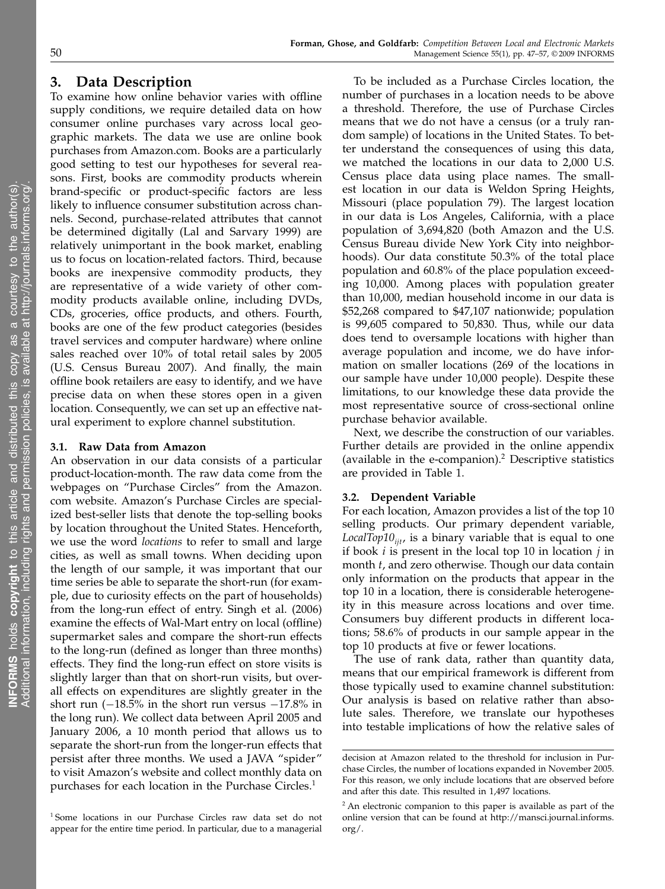## 3. Data Description

To examine how online behavior varies with offline supply conditions, we require detailed data on how consumer online purchases vary across local geographic markets. The data we use are online book purchases from Amazon.com. Books are a particularly good setting to test our hypotheses for several reasons. First, books are commodity products wherein brand-specific or product-specific factors are less likely to influence consumer substitution across channels. Second, purchase-related attributes that cannot be determined digitally (Lal and Sarvary 1999) are relatively unimportant in the book market, enabling us to focus on location-related factors. Third, because books are inexpensive commodity products, they are representative of a wide variety of other commodity products available online, including DVDs, CDs, groceries, office products, and others. Fourth, books are one of the few product categories (besides travel services and computer hardware) where online sales reached over 10% of total retail sales by 2005 (U.S. Census Bureau 2007). And finally, the main offline book retailers are easy to identify, and we have precise data on when these stores open in a given location. Consequently, we can set up an effective natural experiment to explore channel substitution.

#### 3.1. Raw Data from Amazon

An observation in our data consists of a particular product-location-month. The raw data come from the webpages on "Purchase Circles" from the Amazon. com website. Amazon's Purchase Circles are specialized best-seller lists that denote the top-selling books by location throughout the United States. Henceforth, we use the word locations to refer to small and large cities, as well as small towns. When deciding upon the length of our sample, it was important that our time series be able to separate the short-run (for example, due to curiosity effects on the part of households) from the long-run effect of entry. Singh et al. (2006) examine the effects of Wal-Mart entry on local (offline) supermarket sales and compare the short-run effects to the long-run (defined as longer than three months) effects. They find the long-run effect on store visits is slightly larger than that on short-run visits, but overall effects on expenditures are slightly greater in the short run  $(-18.5\%$  in the short run versus  $-17.8\%$  in the long run). We collect data between April 2005 and January 2006, a 10 month period that allows us to separate the short-run from the longer-run effects that persist after three months. We used a JAVA "spider" to visit Amazon's website and collect monthly data on purchases for each location in the Purchase Circles.<sup>1</sup>

To be included as a Purchase Circles location, the number of purchases in a location needs to be above a threshold. Therefore, the use of Purchase Circles means that we do not have a census (or a truly random sample) of locations in the United States. To better understand the consequences of using this data, we matched the locations in our data to 2,000 U.S. Census place data using place names. The smallest location in our data is Weldon Spring Heights, Missouri (place population 79). The largest location in our data is Los Angeles, California, with a place population of 3,694,820 (both Amazon and the U.S. Census Bureau divide New York City into neighborhoods). Our data constitute 50.3% of the total place population and 60.8% of the place population exceeding 10,000. Among places with population greater than 10,000, median household income in our data is \$52,268 compared to \$47,107 nationwide; population is 99,605 compared to 50,830. Thus, while our data does tend to oversample locations with higher than average population and income, we do have information on smaller locations (269 of the locations in our sample have under 10,000 people). Despite these limitations, to our knowledge these data provide the most representative source of cross-sectional online purchase behavior available.

Next, we describe the construction of our variables. Further details are provided in the online appendix (available in the e-companion). $2$  Descriptive statistics are provided in Table 1.

#### 3.2. Dependent Variable

For each location, Amazon provides a list of the top 10 selling products. Our primary dependent variable, LocalTop10 $_{ii}$ , is a binary variable that is equal to one if book  $i$  is present in the local top 10 in location  $j$  in month t, and zero otherwise. Though our data contain only information on the products that appear in the top 10 in a location, there is considerable heterogeneity in this measure across locations and over time. Consumers buy different products in different locations; 58.6% of products in our sample appear in the top 10 products at five or fewer locations.

The use of rank data, rather than quantity data, means that our empirical framework is different from those typically used to examine channel substitution: Our analysis is based on relative rather than absolute sales. Therefore, we translate our hypotheses into testable implications of how the relative sales of

<sup>1</sup> Some locations in our Purchase Circles raw data set do not appear for the entire time period. In particular, due to a managerial

decision at Amazon related to the threshold for inclusion in Purchase Circles, the number of locations expanded in November 2005. For this reason, we only include locations that are observed before and after this date. This resulted in 1,497 locations.

<sup>&</sup>lt;sup>2</sup> An electronic companion to this paper is available as part of the online version that can be found at http://mansci.journal.informs. org/.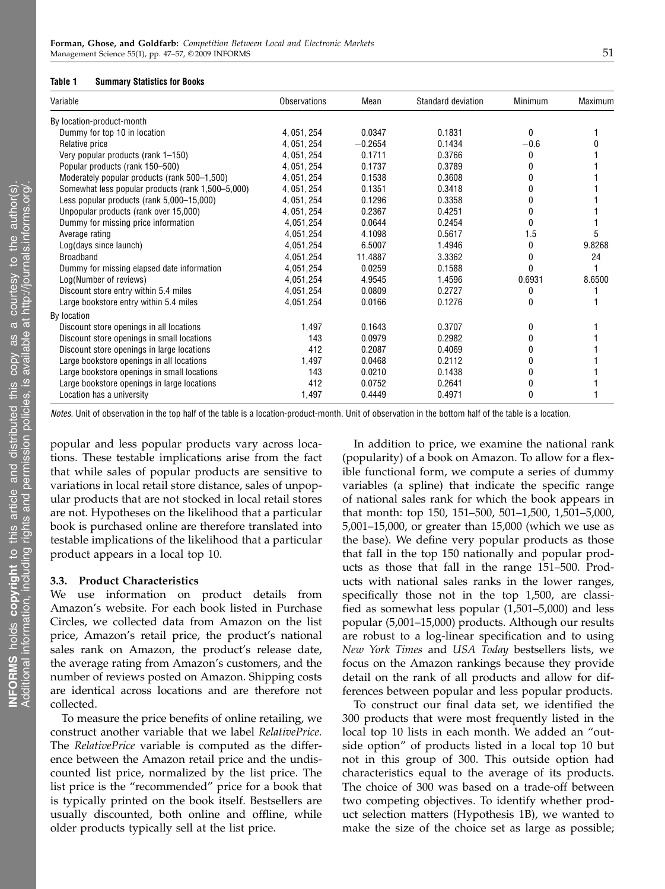#### Table 1 Summary Statistics for Books

| Variable                                          | <b>Observations</b> | Mean      | Standard deviation | Minimum | Maximum |
|---------------------------------------------------|---------------------|-----------|--------------------|---------|---------|
| By location-product-month                         |                     |           |                    |         |         |
| Dummy for top 10 in location                      | 4, 051, 254         | 0.0347    | 0.1831             | 0       |         |
| Relative price                                    | 4, 051, 254         | $-0.2654$ | 0.1434             | $-0.6$  |         |
| Very popular products (rank 1-150)                | 4, 051, 254         | 0.1711    | 0.3766             | 0       |         |
| Popular products (rank 150-500)                   | 4, 051, 254         | 0.1737    | 0.3789             | 0       |         |
| Moderately popular products (rank 500-1,500)      | 4, 051, 254         | 0.1538    | 0.3608             | 0       |         |
| Somewhat less popular products (rank 1,500–5,000) | 4, 051, 254         | 0.1351    | 0.3418             | 0       |         |
| Less popular products (rank 5,000-15,000)         | 4.051.254           | 0.1296    | 0.3358             | 0       |         |
| Unpopular products (rank over 15,000)             | 4, 051, 254         | 0.2367    | 0.4251             | 0       |         |
| Dummy for missing price information               | 4,051,254           | 0.0644    | 0.2454             | 0       |         |
| Average rating                                    | 4.051.254           | 4.1098    | 0.5617             | 1.5     | 5       |
| Log(days since launch)                            | 4.051.254           | 6.5007    | 1.4946             | 0       | 9.8268  |
| <b>Broadband</b>                                  | 4.051.254           | 11.4887   | 3.3362             | 0       | 24      |
| Dummy for missing elapsed date information        | 4,051,254           | 0.0259    | 0.1588             | 0       |         |
| Log(Number of reviews)                            | 4,051,254           | 4.9545    | 1.4596             | 0.6931  | 8.6500  |
| Discount store entry within 5.4 miles             | 4.051.254           | 0.0809    | 0.2727             | 0       |         |
| Large bookstore entry within 5.4 miles            | 4,051,254           | 0.0166    | 0.1276             | 0       |         |
| By location                                       |                     |           |                    |         |         |
| Discount store openings in all locations          | 1,497               | 0.1643    | 0.3707             | 0       |         |
| Discount store openings in small locations        | 143                 | 0.0979    | 0.2982             | N       |         |
| Discount store openings in large locations        | 412                 | 0.2087    | 0.4069             | 0       |         |
| Large bookstore openings in all locations         | 1,497               | 0.0468    | 0.2112             |         |         |
| Large bookstore openings in small locations       | 143                 | 0.0210    | 0.1438             | U       |         |
| Large bookstore openings in large locations       | 412                 | 0.0752    | 0.2641             | 0       |         |
| Location has a university                         | 1,497               | 0.4449    | 0.4971             | 0       |         |

Notes. Unit of observation in the top half of the table is a location-product-month. Unit of observation in the bottom half of the table is a location.

popular and less popular products vary across locations. These testable implications arise from the fact that while sales of popular products are sensitive to variations in local retail store distance, sales of unpopular products that are not stocked in local retail stores are not. Hypotheses on the likelihood that a particular book is purchased online are therefore translated into testable implications of the likelihood that a particular product appears in a local top 10.

#### 3.3. Product Characteristics

We use information on product details from Amazon's website. For each book listed in Purchase Circles, we collected data from Amazon on the list price, Amazon's retail price, the product's national sales rank on Amazon, the product's release date, the average rating from Amazon's customers, and the number of reviews posted on Amazon. Shipping costs are identical across locations and are therefore not collected.

To measure the price benefits of online retailing, we construct another variable that we label RelativePrice. The RelativePrice variable is computed as the difference between the Amazon retail price and the undiscounted list price, normalized by the list price. The list price is the "recommended" price for a book that is typically printed on the book itself. Bestsellers are usually discounted, both online and offline, while older products typically sell at the list price.

In addition to price, we examine the national rank (popularity) of a book on Amazon. To allow for a flexible functional form, we compute a series of dummy variables (a spline) that indicate the specific range of national sales rank for which the book appears in that month: top 150, 151–500, 501–1,500, 1,501–5,000, 5,001–15,000, or greater than 15,000 (which we use as the base). We define very popular products as those that fall in the top 150 nationally and popular products as those that fall in the range 151–500. Products with national sales ranks in the lower ranges, specifically those not in the top 1,500, are classified as somewhat less popular (1,501–5,000) and less popular (5,001–15,000) products. Although our results are robust to a log-linear specification and to using New York Times and USA Today bestsellers lists, we focus on the Amazon rankings because they provide detail on the rank of all products and allow for differences between popular and less popular products.

To construct our final data set, we identified the 300 products that were most frequently listed in the local top 10 lists in each month. We added an "outside option" of products listed in a local top 10 but not in this group of 300. This outside option had characteristics equal to the average of its products. The choice of 300 was based on a trade-off between two competing objectives. To identify whether product selection matters (Hypothesis 1B), we wanted to make the size of the choice set as large as possible;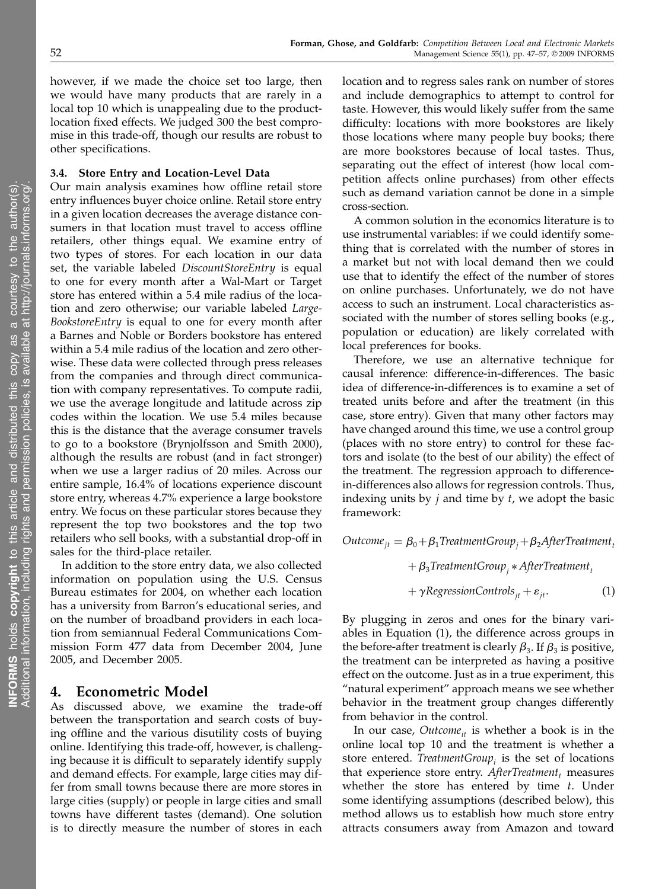however, if we made the choice set too large, then we would have many products that are rarely in a local top 10 which is unappealing due to the productlocation fixed effects. We judged 300 the best compromise in this trade-off, though our results are robust to other specifications.

#### 3.4. Store Entry and Location-Level Data

Our main analysis examines how offline retail store entry influences buyer choice online. Retail store entry in a given location decreases the average distance consumers in that location must travel to access offline retailers, other things equal. We examine entry of two types of stores. For each location in our data set, the variable labeled DiscountStoreEntry is equal to one for every month after a Wal-Mart or Target store has entered within a 5.4 mile radius of the location and zero otherwise; our variable labeled Large-BookstoreEntry is equal to one for every month after a Barnes and Noble or Borders bookstore has entered within a 5.4 mile radius of the location and zero otherwise. These data were collected through press releases from the companies and through direct communication with company representatives. To compute radii, we use the average longitude and latitude across zip codes within the location. We use 5.4 miles because this is the distance that the average consumer travels to go to a bookstore (Brynjolfsson and Smith 2000), although the results are robust (and in fact stronger) when we use a larger radius of 20 miles. Across our entire sample, 16.4% of locations experience discount store entry, whereas 4.7% experience a large bookstore entry. We focus on these particular stores because they represent the top two bookstores and the top two retailers who sell books, with a substantial drop-off in sales for the third-place retailer.

In addition to the store entry data, we also collected information on population using the U.S. Census Bureau estimates for 2004, on whether each location has a university from Barron's educational series, and on the number of broadband providers in each location from semiannual Federal Communications Commission Form 477 data from December 2004, June 2005, and December 2005.

## 4. Econometric Model

As discussed above, we examine the trade-off between the transportation and search costs of buying offline and the various disutility costs of buying online. Identifying this trade-off, however, is challenging because it is difficult to separately identify supply and demand effects. For example, large cities may differ from small towns because there are more stores in large cities (supply) or people in large cities and small towns have different tastes (demand). One solution is to directly measure the number of stores in each location and to regress sales rank on number of stores and include demographics to attempt to control for taste. However, this would likely suffer from the same difficulty: locations with more bookstores are likely those locations where many people buy books; there are more bookstores because of local tastes. Thus, separating out the effect of interest (how local competition affects online purchases) from other effects such as demand variation cannot be done in a simple cross-section.

A common solution in the economics literature is to use instrumental variables: if we could identify something that is correlated with the number of stores in a market but not with local demand then we could use that to identify the effect of the number of stores on online purchases. Unfortunately, we do not have access to such an instrument. Local characteristics associated with the number of stores selling books (e.g., population or education) are likely correlated with local preferences for books.

Therefore, we use an alternative technique for causal inference: difference-in-differences. The basic idea of difference-in-differences is to examine a set of treated units before and after the treatment (in this case, store entry). Given that many other factors may have changed around this time, we use a control group (places with no store entry) to control for these factors and isolate (to the best of our ability) the effect of the treatment. The regression approach to differencein-differences also allows for regression controls. Thus, indexing units by  $j$  and time by  $t$ , we adopt the basic framework:

Outcome<sub>it</sub> =  $\beta_0 + \beta_1$ TreatmentGroup<sub>i</sub> +  $\beta_2$ AfterTreatment<sub>t</sub>

$$
+\beta_3
$$
TreatmentGroup<sub>j</sub> \* After Treatment<sub>t</sub>

 $+ \gamma$ RegressionControls<sub>it</sub> +  $\varepsilon$ <sub>it</sub>. (1)

By plugging in zeros and ones for the binary variables in Equation (1), the difference across groups in the before-after treatment is clearly  $\beta_3$ . If  $\beta_3$  is positive, the treatment can be interpreted as having a positive effect on the outcome. Just as in a true experiment, this "natural experiment" approach means we see whether behavior in the treatment group changes differently from behavior in the control.

In our case, Outcome<sub>it</sub> is whether a book is in the online local top 10 and the treatment is whether a store entered. TreatmentGroup<sub>i</sub> is the set of locations that experience store entry.  $After Treatment$ , measures whether the store has entered by time  $t$ . Under some identifying assumptions (described below), this method allows us to establish how much store entry attracts consumers away from Amazon and toward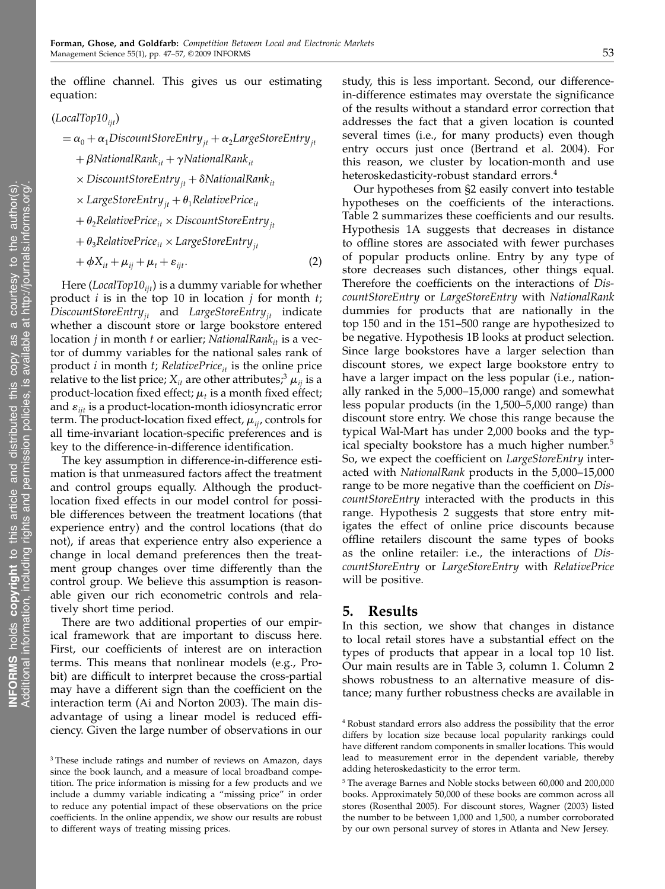the offline channel. This gives us our estimating equation:

 $(LocalTop10_{ii}$ 

$$
= \alpha_0 + \alpha_1 DiscountStoreEntry_{jt} + \alpha_2 LargeStoreEntry_{jt}
$$

 $+ \beta$ NationalRank<sub>it</sub> +  $\gamma$ NationalRank<sub>it</sub>

- $\times$  DiscountStoreEntry<sub>it</sub> +  $\delta$ NationalRank<sub>it</sub>
- $\times$  LargeStoreEntry<sub>it</sub> +  $\theta_1$ RelativePrice<sub>it</sub>
- $+ \theta_2$ RelativePrice<sub>it</sub> × DiscountStoreEntry<sub>it</sub>
- +  $\theta_3$ RelativePrice<sub>it</sub> × LargeStoreEntry<sub>it</sub>

$$
+\phi X_{it} + \mu_{ij} + \mu_t + \varepsilon_{ijt}.\tag{2}
$$

Here (LocalTop10 $_{ii}$ ) is a dummy variable for whether product  $i$  is in the top 10 in location  $j$  for month  $t$ ;  $DiscountStoreEntry_{it}$  and  $LargeStoreEntry_{it}$  indicate whether a discount store or large bookstore entered location *j* in month *t* or earlier; NationalRan $k_{it}$  is a vector of dummy variables for the national sales rank of product *i* in month *t*; RelativePrice<sub>it</sub> is the online price relative to the list price;  $X_{it}$  are other attributes;<sup>3</sup>  $\mu_{it}$  is a product-location fixed effect;  $\mu_t$  is a month fixed effect; and  $\varepsilon_{ijt}$  is a product-location-month idiosyncratic error term. The product-location fixed effect,  $\mu_{ii}$ , controls for all time-invariant location-specific preferences and is key to the difference-in-difference identification.

The key assumption in difference-in-difference estimation is that unmeasured factors affect the treatment and control groups equally. Although the productlocation fixed effects in our model control for possible differences between the treatment locations (that experience entry) and the control locations (that do not), if areas that experience entry also experience a change in local demand preferences then the treatment group changes over time differently than the control group. We believe this assumption is reasonable given our rich econometric controls and relatively short time period.

There are two additional properties of our empirical framework that are important to discuss here. First, our coefficients of interest are on interaction terms. This means that nonlinear models (e.g., Probit) are difficult to interpret because the cross-partial may have a different sign than the coefficient on the interaction term (Ai and Norton 2003). The main disadvantage of using a linear model is reduced efficiency. Given the large number of observations in our study, this is less important. Second, our differencein-difference estimates may overstate the significance of the results without a standard error correction that addresses the fact that a given location is counted several times (i.e., for many products) even though entry occurs just once (Bertrand et al. 2004). For this reason, we cluster by location-month and use heteroskedasticity-robust standard errors.<sup>4</sup>

Our hypotheses from §2 easily convert into testable hypotheses on the coefficients of the interactions. Table 2 summarizes these coefficients and our results. Hypothesis 1A suggests that decreases in distance to offline stores are associated with fewer purchases of popular products online. Entry by any type of store decreases such distances, other things equal. Therefore the coefficients on the interactions of DiscountStoreEntry or LargeStoreEntry with NationalRank dummies for products that are nationally in the top 150 and in the 151–500 range are hypothesized to be negative. Hypothesis 1B looks at product selection. Since large bookstores have a larger selection than discount stores, we expect large bookstore entry to have a larger impact on the less popular (i.e., nationally ranked in the 5,000–15,000 range) and somewhat less popular products (in the 1,500–5,000 range) than discount store entry. We chose this range because the typical Wal-Mart has under 2,000 books and the typical specialty bookstore has a much higher number.<sup>5</sup> So, we expect the coefficient on LargeStoreEntry interacted with NationalRank products in the 5,000–15,000 range to be more negative than the coefficient on DiscountStoreEntry interacted with the products in this range. Hypothesis 2 suggests that store entry mitigates the effect of online price discounts because offline retailers discount the same types of books as the online retailer: i.e., the interactions of DiscountStoreEntry or LargeStoreEntry with RelativePrice will be positive.

#### 5. Results

In this section, we show that changes in distance to local retail stores have a substantial effect on the types of products that appear in a local top 10 list. Our main results are in Table 3, column 1. Column 2 shows robustness to an alternative measure of distance; many further robustness checks are available in

<sup>&</sup>lt;sup>3</sup> These include ratings and number of reviews on Amazon, days since the book launch, and a measure of local broadband competition. The price information is missing for a few products and we include a dummy variable indicating a "missing price" in order to reduce any potential impact of these observations on the price coefficients. In the online appendix, we show our results are robust to different ways of treating missing prices.

<sup>4</sup> Robust standard errors also address the possibility that the error differs by location size because local popularity rankings could have different random components in smaller locations. This would lead to measurement error in the dependent variable, thereby adding heteroskedasticity to the error term.

<sup>5</sup> The average Barnes and Noble stocks between 60,000 and 200,000 books. Approximately 50,000 of these books are common across all stores (Rosenthal 2005). For discount stores, Wagner (2003) listed the number to be between 1,000 and 1,500, a number corroborated by our own personal survey of stores in Atlanta and New Jersey.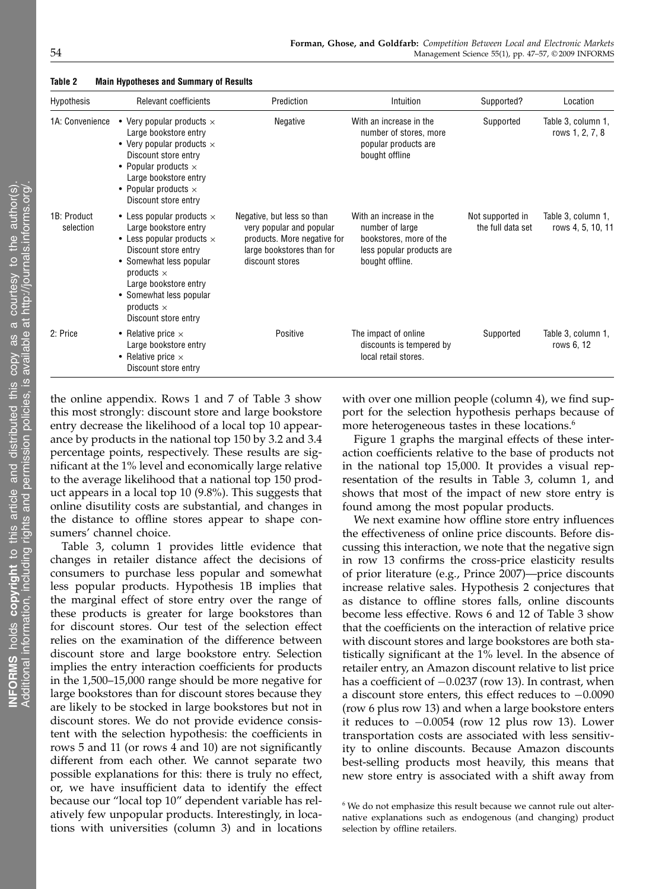| Hypothesis               | Relevant coefficients                                                                                                                                                                                                                                                  | Prediction                                                                                                                            | Intuition                                                                                                             | Supported?                            | Location                                |
|--------------------------|------------------------------------------------------------------------------------------------------------------------------------------------------------------------------------------------------------------------------------------------------------------------|---------------------------------------------------------------------------------------------------------------------------------------|-----------------------------------------------------------------------------------------------------------------------|---------------------------------------|-----------------------------------------|
| 1A: Convenience          | • Very popular products $\times$<br>Large bookstore entry<br>• Very popular products $\times$<br>Discount store entry<br>• Popular products $\times$<br>Large bookstore entry<br>• Popular products $\times$<br>Discount store entry                                   | Negative                                                                                                                              | With an increase in the<br>number of stores, more<br>popular products are<br>bought offline                           | Supported                             | Table 3, column 1,<br>rows 1, 2, 7, 8   |
| 1B: Product<br>selection | • Less popular products $\times$<br>Large bookstore entry<br>• Less popular products $\times$<br>Discount store entry<br>• Somewhat less popular<br>products $\times$<br>Large bookstore entry<br>• Somewhat less popular<br>products $\times$<br>Discount store entry | Negative, but less so than<br>very popular and popular<br>products. More negative for<br>large bookstores than for<br>discount stores | With an increase in the<br>number of large<br>bookstores, more of the<br>less popular products are<br>bought offline. | Not supported in<br>the full data set | Table 3, column 1,<br>rows 4, 5, 10, 11 |
| 2: Price                 | • Relative price $\times$<br>Large bookstore entry<br>• Relative price $\times$<br>Discount store entry                                                                                                                                                                | Positive                                                                                                                              | The impact of online<br>discounts is tempered by<br>local retail stores.                                              | Supported                             | Table 3, column 1,<br>rows 6, 12        |

Table 2 Main Hypotheses and Summary of Results

the online appendix. Rows 1 and 7 of Table 3 show this most strongly: discount store and large bookstore entry decrease the likelihood of a local top 10 appearance by products in the national top 150 by 3.2 and 3.4 percentage points, respectively. These results are significant at the 1% level and economically large relative to the average likelihood that a national top 150 product appears in a local top 10 (9.8%). This suggests that online disutility costs are substantial, and changes in the distance to offline stores appear to shape consumers' channel choice.

Table 3, column 1 provides little evidence that changes in retailer distance affect the decisions of consumers to purchase less popular and somewhat less popular products. Hypothesis 1B implies that the marginal effect of store entry over the range of these products is greater for large bookstores than for discount stores. Our test of the selection effect relies on the examination of the difference between discount store and large bookstore entry. Selection implies the entry interaction coefficients for products in the 1,500–15,000 range should be more negative for large bookstores than for discount stores because they are likely to be stocked in large bookstores but not in discount stores. We do not provide evidence consistent with the selection hypothesis: the coefficients in rows 5 and 11 (or rows 4 and 10) are not significantly different from each other. We cannot separate two possible explanations for this: there is truly no effect, or, we have insufficient data to identify the effect because our "local top 10" dependent variable has relatively few unpopular products. Interestingly, in locations with universities (column 3) and in locations

with over one million people (column 4), we find support for the selection hypothesis perhaps because of more heterogeneous tastes in these locations.<sup>6</sup>

Figure 1 graphs the marginal effects of these interaction coefficients relative to the base of products not in the national top 15,000. It provides a visual representation of the results in Table 3, column 1, and shows that most of the impact of new store entry is found among the most popular products.

We next examine how offline store entry influences the effectiveness of online price discounts. Before discussing this interaction, we note that the negative sign in row 13 confirms the cross-price elasticity results of prior literature (e.g., Prince 2007)—price discounts increase relative sales. Hypothesis 2 conjectures that as distance to offline stores falls, online discounts become less effective. Rows 6 and 12 of Table 3 show that the coefficients on the interaction of relative price with discount stores and large bookstores are both statistically significant at the 1% level. In the absence of retailer entry, an Amazon discount relative to list price has a coefficient of  $-0.0237$  (row 13). In contrast, when a discount store enters, this effect reduces to −0.0090 (row 6 plus row 13) and when a large bookstore enters it reduces to −0.0054 (row 12 plus row 13). Lower transportation costs are associated with less sensitivity to online discounts. Because Amazon discounts best-selling products most heavily, this means that new store entry is associated with a shift away from

<sup>&</sup>lt;sup>6</sup> We do not emphasize this result because we cannot rule out alternative explanations such as endogenous (and changing) product selection by offline retailers.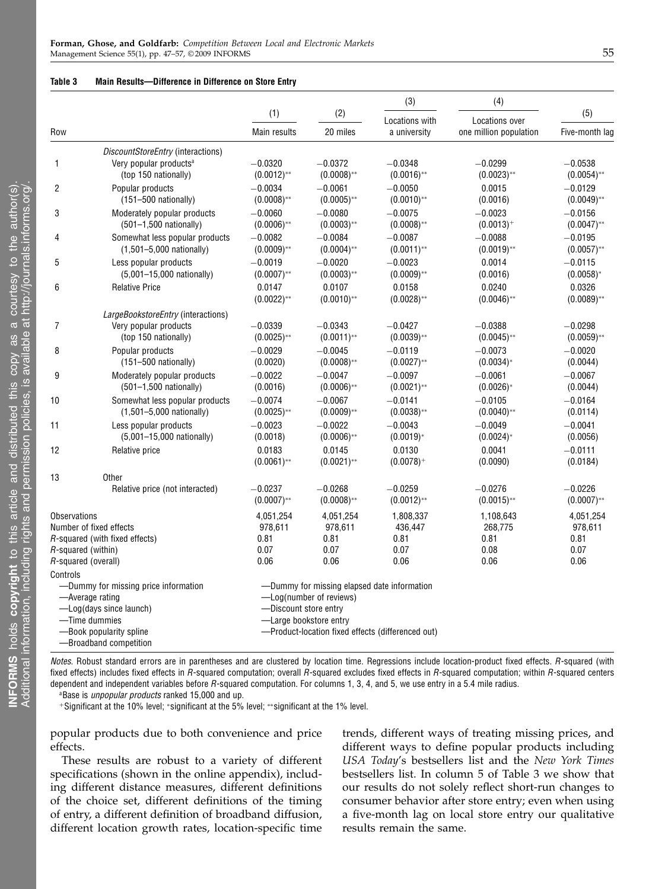#### Table 3 Main Results—Difference in Difference on Store Entry

|                     |                                                       |                            |                                             | (3)                                               | (4)                        |                            |
|---------------------|-------------------------------------------------------|----------------------------|---------------------------------------------|---------------------------------------------------|----------------------------|----------------------------|
|                     |                                                       | (1)                        | (2)                                         | Locations with                                    | Locations over             | (5)                        |
| Row                 |                                                       | Main results               | 20 miles                                    | a university                                      | one million population     | Five-month lag             |
|                     | DiscountStoreEntry (interactions)                     |                            |                                             |                                                   |                            |                            |
| 1                   | Very popular products <sup>a</sup>                    | $-0.0320$                  | $-0.0372$                                   | $-0.0348$                                         | $-0.0299$                  | $-0.0538$                  |
|                     | (top 150 nationally)                                  | $(0.0012)$ **              | $(0.0008)$ **                               | $(0.0016)$ **                                     | $(0.0023)$ **              | $(0.0054)$ **              |
| $\overline{2}$      | Popular products                                      | $-0.0034$                  | $-0.0061$                                   | $-0.0050$                                         | 0.0015                     | $-0.0129$                  |
|                     | $(151 - 500$ nationally)                              | $(0.0008)$ **              | $(0.0005)$ **                               | $(0.0010)$ **                                     | (0.0016)                   | $(0.0049)$ **              |
| 3                   | Moderately popular products                           | $-0.0060$                  | $-0.0080$                                   | $-0.0075$                                         | $-0.0023$                  | $-0.0156$                  |
|                     | (501-1,500 nationally)                                | $(0.0006)$ **              | $(0.0003)$ **                               | $(0.0008)$ **                                     | $(0.0013)^+$               | $(0.0047)$ **              |
| 4                   | Somewhat less popular products                        | $-0.0082$                  | $-0.0084$                                   | $-0.0087$                                         | $-0.0088$                  | $-0.0195$                  |
|                     | $(1,501 - 5,000$ nationally)                          | $(0.0009)$ **              | $(0.0004)$ **                               | $(0.0011)$ **                                     | $(0.0019)$ **              | $(0.0057)$ **              |
| 5                   | Less popular products<br>(5,001-15,000 nationally)    | $-0.0019$                  | $-0.0020$<br>$(0.0003)$ **                  | $-0.0023$                                         | 0.0014                     | $-0.0115$                  |
|                     |                                                       | $(0.0007)$ **              |                                             | $(0.0009)$ **                                     | (0.0016)                   | $(0.0058)$ *               |
| 6                   | <b>Relative Price</b>                                 | 0.0147<br>$(0.0022)$ **    | 0.0107<br>$(0.0010)$ **                     | 0.0158<br>$(0.0028)$ **                           | 0.0240<br>$(0.0046)$ **    | 0.0326<br>$(0.0089)$ **    |
|                     |                                                       |                            |                                             |                                                   |                            |                            |
|                     | LargeBookstoreEntry (interactions)                    |                            |                                             |                                                   |                            |                            |
| 7                   | Very popular products<br>(top 150 nationally)         | $-0.0339$<br>$(0.0025)$ ** | $-0.0343$<br>$(0.0011)$ **                  | $-0.0427$<br>$(0.0039)$ **                        | $-0.0388$<br>$(0.0045)$ ** | $-0.0298$<br>$(0.0059)$ ** |
|                     |                                                       | $-0.0029$                  | $-0.0045$                                   | $-0.0119$                                         | $-0.0073$                  | $-0.0020$                  |
| 8<br>9              | Popular products<br>$(151 - 500 \text{ nationally})$  | (0.0020)                   | $(0.0008)$ **                               | $(0.0027)$ **                                     | $(0.0034)$ <sup>*</sup>    | (0.0044)                   |
|                     |                                                       | $-0.0022$                  | $-0.0047$                                   | $-0.0097$                                         | $-0.0061$                  | $-0.0067$                  |
|                     | Moderately popular products<br>(501-1,500 nationally) | (0.0016)                   | $(0.0006)$ **                               | $(0.0021)$ **                                     | $(0.0026)*$                | (0.0044)                   |
| 10                  | Somewhat less popular products                        | $-0.0074$                  | $-0.0067$                                   | $-0.0141$                                         | $-0.0105$                  | $-0.0164$                  |
|                     | $(1,501 - 5,000$ nationally)                          | $(0.0025)$ **              | $(0.0009)$ **                               | $(0.0038)$ **                                     | $(0.0040)$ **              | (0.0114)                   |
| 11                  | Less popular products                                 | $-0.0023$                  | $-0.0022$                                   | $-0.0043$                                         | $-0.0049$                  | $-0.0041$                  |
|                     | (5,001-15,000 nationally)                             | (0.0018)                   | $(0.0006)$ **                               | $(0.0019)^*$                                      | $(0.0024)$ <sup>*</sup>    | (0.0056)                   |
| 12                  | Relative price                                        | 0.0183                     | 0.0145                                      | 0.0130                                            | 0.0041                     | $-0.0111$                  |
|                     |                                                       | $(0.0061)$ **              | $(0.0021)$ **                               | $(0.0078)^+$                                      | (0.0090)                   | (0.0184)                   |
| 13                  | Other                                                 |                            |                                             |                                                   |                            |                            |
|                     | Relative price (not interacted)                       | $-0.0237$                  | $-0.0268$                                   | $-0.0259$                                         | $-0.0276$                  | $-0.0226$                  |
|                     |                                                       | $(0.0007)$ **              | $(0.0008)$ **                               | $(0.0012)$ **                                     | $(0.0015)$ **              | $(0.0007)$ **              |
| <b>Observations</b> |                                                       | 4,051,254                  | 4,051,254                                   | 1,808,337                                         | 1,108,643                  | 4,051,254                  |
|                     | Number of fixed effects                               | 978,611                    | 978,611                                     | 436,447                                           | 268,775                    | 978,611                    |
|                     | R-squared (with fixed effects)                        | 0.81                       | 0.81                                        | 0.81                                              | 0.81                       | 0.81                       |
|                     | R-squared (within)                                    | 0.07                       | 0.07                                        | 0.07                                              | 0.08                       | 0.07                       |
|                     | R-squared (overall)                                   | 0.06                       | 0.06                                        | 0.06                                              | 0.06                       | 0.06                       |
| Controls            |                                                       |                            |                                             |                                                   |                            |                            |
|                     | -Dummy for missing price information                  |                            | -Dummy for missing elapsed date information |                                                   |                            |                            |
|                     | -Average rating                                       |                            | -Log(number of reviews)                     |                                                   |                            |                            |
|                     | -Log(days since launch)<br>-Time dummies              | -Discount store entry      | -Large bookstore entry                      |                                                   |                            |                            |
|                     | -Book popularity spline                               |                            |                                             | -Product-location fixed effects (differenced out) |                            |                            |
|                     | -Broadband competition                                |                            |                                             |                                                   |                            |                            |
|                     |                                                       |                            |                                             |                                                   |                            |                            |

Notes. Robust standard errors are in parentheses and are clustered by location time. Regressions include location-product fixed effects. R-squared (with fixed effects) includes fixed effects in R-squared computation; overall R-squared excludes fixed effects in R-squared computation; within R-squared centers dependent and independent variables before R-squared computation. For columns 1, 3, 4, and 5, we use entry in a 5.4 mile radius.

<sup>a</sup>Base is *unpopular products* ranked 15,000 and up.

<sup>+</sup>Significant at the 10% level; <sup>∗</sup>significant at the 5% level; ∗∗significant at the 1% level.

popular products due to both convenience and price effects.

These results are robust to a variety of different specifications (shown in the online appendix), including different distance measures, different definitions of the choice set, different definitions of the timing of entry, a different definition of broadband diffusion, different location growth rates, location-specific time

trends, different ways of treating missing prices, and different ways to define popular products including USA Today's bestsellers list and the New York Times bestsellers list. In column 5 of Table 3 we show that our results do not solely reflect short-run changes to consumer behavior after store entry; even when using a five-month lag on local store entry our qualitative results remain the same.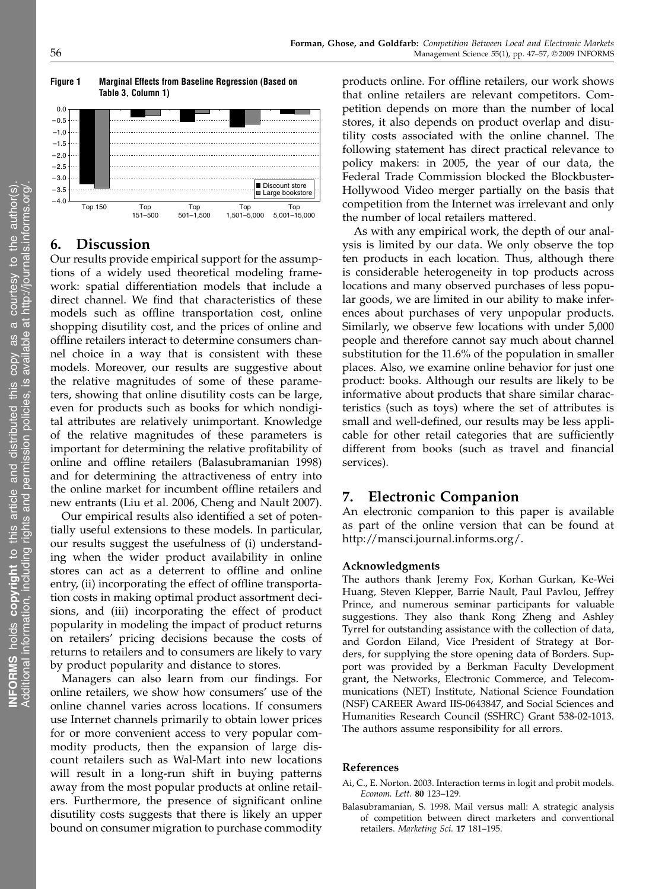

## 6. Discussion

Our results provide empirical support for the assumptions of a widely used theoretical modeling framework: spatial differentiation models that include a direct channel. We find that characteristics of these models such as offline transportation cost, online shopping disutility cost, and the prices of online and offline retailers interact to determine consumers channel choice in a way that is consistent with these models. Moreover, our results are suggestive about the relative magnitudes of some of these parameters, showing that online disutility costs can be large, even for products such as books for which nondigital attributes are relatively unimportant. Knowledge of the relative magnitudes of these parameters is important for determining the relative profitability of online and offline retailers (Balasubramanian 1998) and for determining the attractiveness of entry into the online market for incumbent offline retailers and new entrants (Liu et al. 2006, Cheng and Nault 2007).

Our empirical results also identified a set of potentially useful extensions to these models. In particular, our results suggest the usefulness of (i) understanding when the wider product availability in online stores can act as a deterrent to offline and online entry, (ii) incorporating the effect of offline transportation costs in making optimal product assortment decisions, and (iii) incorporating the effect of product popularity in modeling the impact of product returns on retailers' pricing decisions because the costs of returns to retailers and to consumers are likely to vary by product popularity and distance to stores.

Managers can also learn from our findings. For online retailers, we show how consumers' use of the online channel varies across locations. If consumers use Internet channels primarily to obtain lower prices for or more convenient access to very popular commodity products, then the expansion of large discount retailers such as Wal-Mart into new locations will result in a long-run shift in buying patterns away from the most popular products at online retailers. Furthermore, the presence of significant online disutility costs suggests that there is likely an upper bound on consumer migration to purchase commodity

products online. For offline retailers, our work shows that online retailers are relevant competitors. Competition depends on more than the number of local stores, it also depends on product overlap and disutility costs associated with the online channel. The following statement has direct practical relevance to policy makers: in 2005, the year of our data, the Federal Trade Commission blocked the Blockbuster-Hollywood Video merger partially on the basis that competition from the Internet was irrelevant and only the number of local retailers mattered.

As with any empirical work, the depth of our analysis is limited by our data. We only observe the top ten products in each location. Thus, although there is considerable heterogeneity in top products across locations and many observed purchases of less popular goods, we are limited in our ability to make inferences about purchases of very unpopular products. Similarly, we observe few locations with under 5,000 people and therefore cannot say much about channel substitution for the 11.6% of the population in smaller places. Also, we examine online behavior for just one product: books. Although our results are likely to be informative about products that share similar characteristics (such as toys) where the set of attributes is small and well-defined, our results may be less applicable for other retail categories that are sufficiently different from books (such as travel and financial services).

## 7. Electronic Companion

An electronic companion to this paper is available as part of the online version that can be found at http://mansci.journal.informs.org/.

#### Acknowledgments

The authors thank Jeremy Fox, Korhan Gurkan, Ke-Wei Huang, Steven Klepper, Barrie Nault, Paul Pavlou, Jeffrey Prince, and numerous seminar participants for valuable suggestions. They also thank Rong Zheng and Ashley Tyrrel for outstanding assistance with the collection of data, and Gordon Eiland, Vice President of Strategy at Borders, for supplying the store opening data of Borders. Support was provided by a Berkman Faculty Development grant, the Networks, Electronic Commerce, and Telecommunications (NET) Institute, National Science Foundation (NSF) CAREER Award IIS-0643847, and Social Sciences and Humanities Research Council (SSHRC) Grant 538-02-1013. The authors assume responsibility for all errors.

#### References

- Ai, C., E. Norton. 2003. Interaction terms in logit and probit models. Econom. Lett. 80 123–129.
- Balasubramanian, S. 1998. Mail versus mall: A strategic analysis of competition between direct marketers and conventional retailers. Marketing Sci. 17 181–195.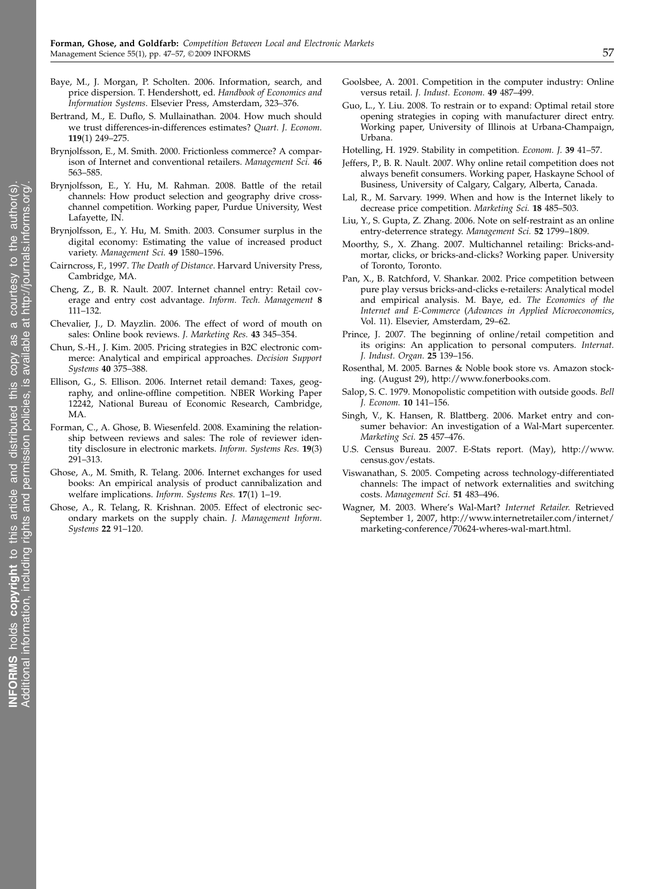- Baye, M., J. Morgan, P. Scholten. 2006. Information, search, and price dispersion. T. Hendershott, ed. Handbook of Economics and Information Systems. Elsevier Press, Amsterdam, 323–376.
- Bertrand, M., E. Duflo, S. Mullainathan. 2004. How much should we trust differences-in-differences estimates? Quart. J. Econom. 119(1) 249–275.
- Brynjolfsson, E., M. Smith. 2000. Frictionless commerce? A comparison of Internet and conventional retailers. Management Sci. 46 563–585.
- Brynjolfsson, E., Y. Hu, M. Rahman. 2008. Battle of the retail channels: How product selection and geography drive crosschannel competition. Working paper, Purdue University, West Lafayette, IN.
- Brynjolfsson, E., Y. Hu, M. Smith. 2003. Consumer surplus in the digital economy: Estimating the value of increased product variety. Management Sci. 49 1580–1596.
- Cairncross, F., 1997. The Death of Distance. Harvard University Press, Cambridge, MA.
- Cheng, Z., B. R. Nault. 2007. Internet channel entry: Retail coverage and entry cost advantage. Inform. Tech. Management 8 111–132.
- Chevalier, J., D. Mayzlin. 2006. The effect of word of mouth on sales: Online book reviews. J. Marketing Res. 43 345–354.
- Chun, S.-H., J. Kim. 2005. Pricing strategies in B2C electronic commerce: Analytical and empirical approaches. Decision Support Systems 40 375–388.
- Ellison, G., S. Ellison. 2006. Internet retail demand: Taxes, geography, and online-offline competition. NBER Working Paper 12242, National Bureau of Economic Research, Cambridge, MA.
- Forman, C., A. Ghose, B. Wiesenfeld. 2008. Examining the relationship between reviews and sales: The role of reviewer identity disclosure in electronic markets. Inform. Systems Res. 19(3) 291–313.
- Ghose, A., M. Smith, R. Telang. 2006. Internet exchanges for used books: An empirical analysis of product cannibalization and welfare implications. Inform. Systems Res. 17(1) 1–19.
- Ghose, A., R. Telang, R. Krishnan. 2005. Effect of electronic secondary markets on the supply chain. J. Management Inform. Systems 22 91–120.
- Goolsbee, A. 2001. Competition in the computer industry: Online versus retail. J. Indust. Econom. 49 487–499.
- Guo, L., Y. Liu. 2008. To restrain or to expand: Optimal retail store opening strategies in coping with manufacturer direct entry. Working paper, University of Illinois at Urbana-Champaign, Urbana.
- Hotelling, H. 1929. Stability in competition. Econom. J. 39 41–57.
- Jeffers, P., B. R. Nault. 2007. Why online retail competition does not always benefit consumers. Working paper, Haskayne School of Business, University of Calgary, Calgary, Alberta, Canada.
- Lal, R., M. Sarvary. 1999. When and how is the Internet likely to decrease price competition. Marketing Sci. 18 485–503.
- Liu, Y., S. Gupta, Z. Zhang. 2006. Note on self-restraint as an online entry-deterrence strategy. Management Sci. 52 1799–1809.
- Moorthy, S., X. Zhang. 2007. Multichannel retailing: Bricks-andmortar, clicks, or bricks-and-clicks? Working paper. University of Toronto, Toronto.
- Pan, X., B. Ratchford, V. Shankar. 2002. Price competition between pure play versus bricks-and-clicks e-retailers: Analytical model and empirical analysis. M. Baye, ed. The Economics of the Internet and E-Commerce (Advances in Applied Microeconomics, Vol. 11). Elsevier, Amsterdam, 29–62.
- Prince, J. 2007. The beginning of online/retail competition and its origins: An application to personal computers. Internat. J. Indust. Organ. 25 139–156.
- Rosenthal, M. 2005. Barnes & Noble book store vs. Amazon stocking. (August 29), http://www.fonerbooks.com.
- Salop, S. C. 1979. Monopolistic competition with outside goods. Bell J. Econom. 10 141–156.
- Singh, V., K. Hansen, R. Blattberg. 2006. Market entry and consumer behavior: An investigation of a Wal-Mart supercenter. Marketing Sci. 25 457–476.
- U.S. Census Bureau. 2007. E-Stats report. (May), http://www. census.gov/estats.
- Viswanathan, S. 2005. Competing across technology-differentiated channels: The impact of network externalities and switching costs. Management Sci. 51 483–496.
- Wagner, M. 2003. Where's Wal-Mart? Internet Retailer. Retrieved September 1, 2007, http://www.internetretailer.com/internet/ marketing-conference/70624-wheres-wal-mart.html.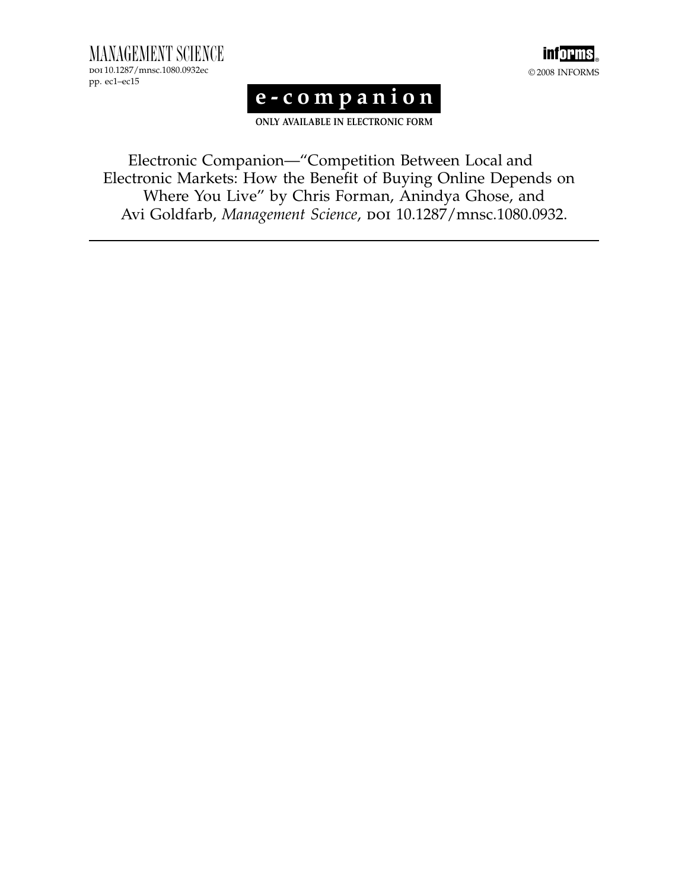MANAGEMENT SCIENCE doi 10.1287/mnsc.1080.0932ec pp. ec1–ec15



# e-companion

ONLY AVAILABLE IN ELECTRONIC FORM

Electronic Companion—"Competition Between Local and Electronic Markets: How the Benefit of Buying Online Depends on Where You Live" by Chris Forman, Anindya Ghose, and Avi Goldfarb, Management Science, poi 10.1287/mnsc.1080.0932.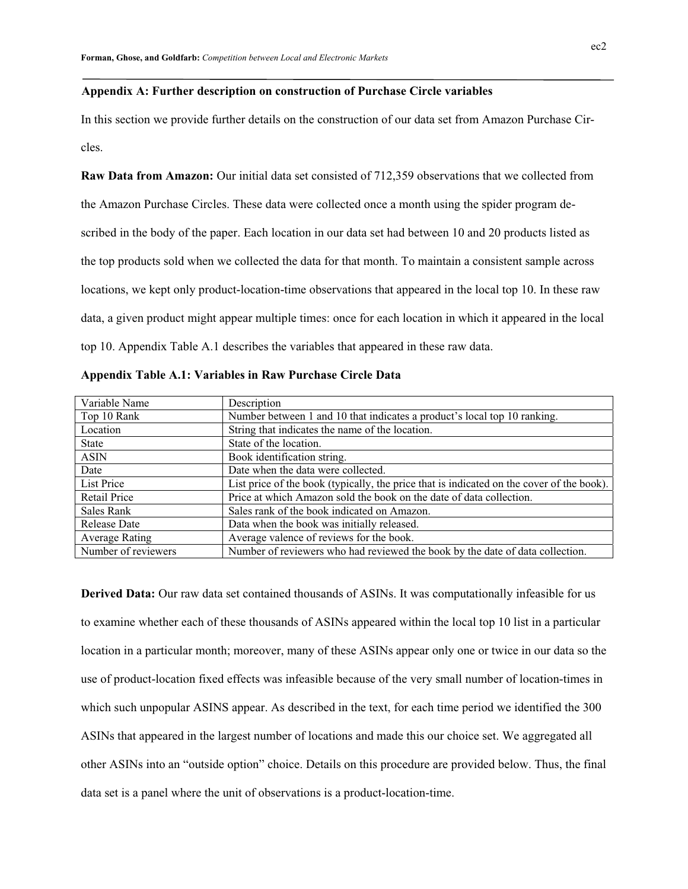#### **Appendix A: Further description on construction of Purchase Circle variables**

In this section we provide further details on the construction of our data set from Amazon Purchase Circles.

**Raw Data from Amazon:** Our initial data set consisted of 712,359 observations that we collected from the Amazon Purchase Circles. These data were collected once a month using the spider program described in the body of the paper. Each location in our data set had between 10 and 20 products listed as the top products sold when we collected the data for that month. To maintain a consistent sample across locations, we kept only product-location-time observations that appeared in the local top 10. In these raw data, a given product might appear multiple times: once for each location in which it appeared in the local top 10. Appendix Table A.1 describes the variables that appeared in these raw data.

| Variable Name         | Description                                                                               |
|-----------------------|-------------------------------------------------------------------------------------------|
| Top 10 Rank           | Number between 1 and 10 that indicates a product's local top 10 ranking.                  |
| Location              | String that indicates the name of the location.                                           |
| <b>State</b>          | State of the location.                                                                    |
| <b>ASIN</b>           | Book identification string.                                                               |
| Date                  | Date when the data were collected.                                                        |
| List Price            | List price of the book (typically, the price that is indicated on the cover of the book). |
| Retail Price          | Price at which Amazon sold the book on the date of data collection.                       |
| Sales Rank            | Sales rank of the book indicated on Amazon.                                               |
| Release Date          | Data when the book was initially released.                                                |
| <b>Average Rating</b> | Average valence of reviews for the book.                                                  |
| Number of reviewers   | Number of reviewers who had reviewed the book by the date of data collection.             |

**Appendix Table A.1: Variables in Raw Purchase Circle Data** 

**Derived Data:** Our raw data set contained thousands of ASINs. It was computationally infeasible for us to examine whether each of these thousands of ASINs appeared within the local top 10 list in a particular location in a particular month; moreover, many of these ASINs appear only one or twice in our data so the use of product-location fixed effects was infeasible because of the very small number of location-times in which such unpopular ASINS appear. As described in the text, for each time period we identified the 300 ASINs that appeared in the largest number of locations and made this our choice set. We aggregated all other ASINs into an "outside option" choice. Details on this procedure are provided below. Thus, the final data set is a panel where the unit of observations is a product-location-time.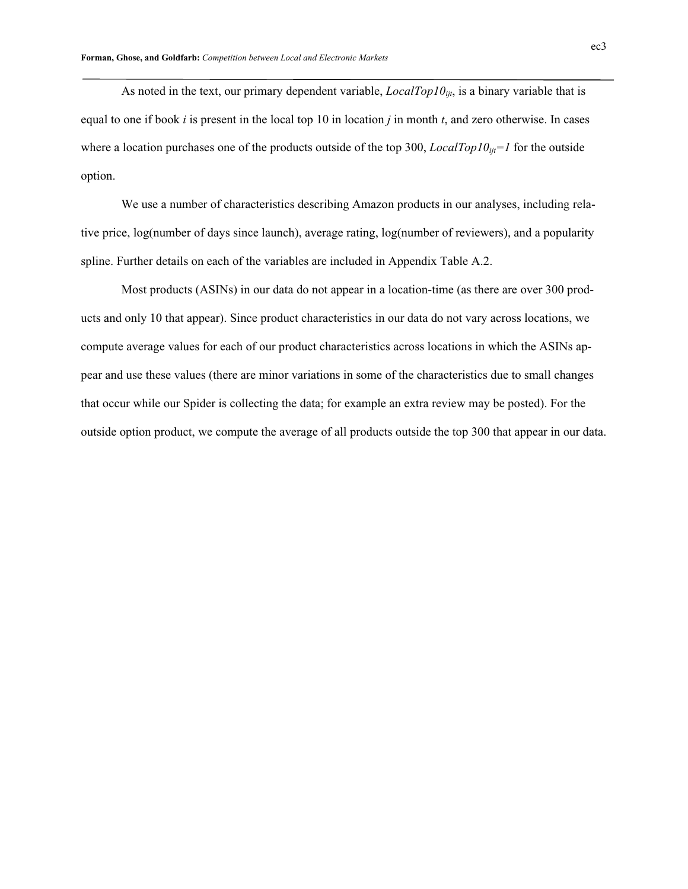As noted in the text, our primary dependent variable,  $LocalTop10_{ijt}$ , is a binary variable that is equal to one if book *i* is present in the local top 10 in location *j* in month *t*, and zero otherwise. In cases where a location purchases one of the products outside of the top 300, *LocalTop10<sub>ijt</sub>=1* for the outside option.

 We use a number of characteristics describing Amazon products in our analyses, including relative price, log(number of days since launch), average rating, log(number of reviewers), and a popularity spline. Further details on each of the variables are included in Appendix Table A.2.

 Most products (ASINs) in our data do not appear in a location-time (as there are over 300 products and only 10 that appear). Since product characteristics in our data do not vary across locations, we compute average values for each of our product characteristics across locations in which the ASINs appear and use these values (there are minor variations in some of the characteristics due to small changes that occur while our Spider is collecting the data; for example an extra review may be posted). For the outside option product, we compute the average of all products outside the top 300 that appear in our data.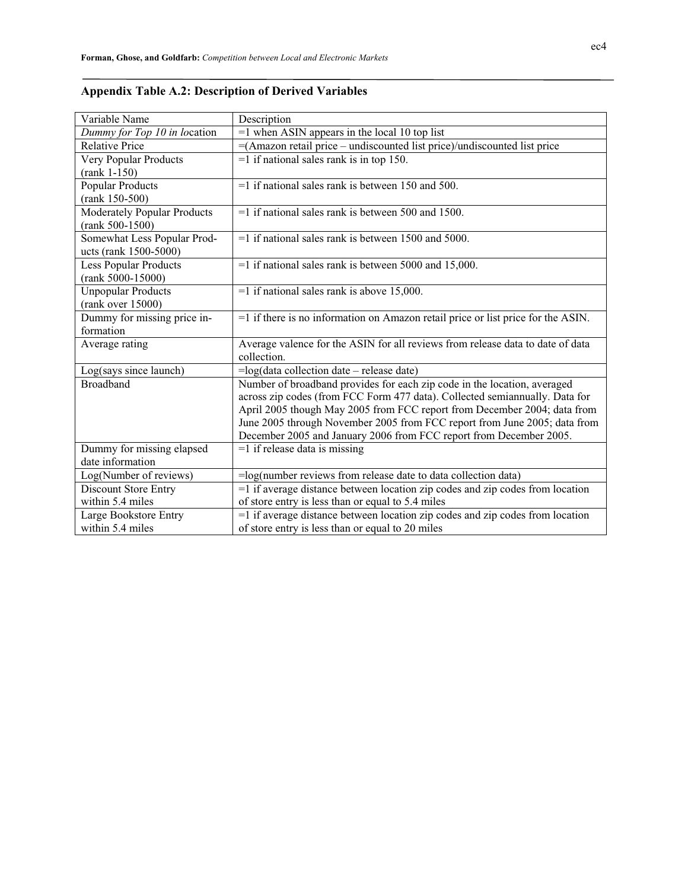| Variable Name                      | Description                                                                      |
|------------------------------------|----------------------------------------------------------------------------------|
| Dummy for Top 10 in location       | $=1$ when ASIN appears in the local 10 top list                                  |
| <b>Relative Price</b>              | =(Amazon retail price – undiscounted list price)/undiscounted list price         |
| Very Popular Products              | $=$ 1 if national sales rank is in top 150.                                      |
| $(rank 1-150)$                     |                                                                                  |
| <b>Popular Products</b>            | $=$ 1 if national sales rank is between 150 and 500.                             |
| (rank 150-500)                     |                                                                                  |
| <b>Moderately Popular Products</b> | $=1$ if national sales rank is between 500 and 1500.                             |
| $(rank 500-1500)$                  |                                                                                  |
| Somewhat Less Popular Prod-        | $=$ 1 if national sales rank is between 1500 and 5000.                           |
| ucts (rank 1500-5000)              |                                                                                  |
| <b>Less Popular Products</b>       | $=$ 1 if national sales rank is between 5000 and 15,000.                         |
| $(rank 5000-15000)$                |                                                                                  |
| <b>Unpopular Products</b>          | $=1$ if national sales rank is above 15,000.                                     |
| (rank over 15000)                  |                                                                                  |
| Dummy for missing price in-        | =1 if there is no information on Amazon retail price or list price for the ASIN. |
| formation                          |                                                                                  |
| Average rating                     | Average valence for the ASIN for all reviews from release data to date of data   |
|                                    | collection.                                                                      |
| Log(says since launch)             | $=$ log(data collection date – release date)                                     |
| <b>Broadband</b>                   | Number of broadband provides for each zip code in the location, averaged         |
|                                    | across zip codes (from FCC Form 477 data). Collected semiannually. Data for      |
|                                    | April 2005 though May 2005 from FCC report from December 2004; data from         |
|                                    | June 2005 through November 2005 from FCC report from June 2005; data from        |
|                                    | December 2005 and January 2006 from FCC report from December 2005.               |
| Dummy for missing elapsed          | $=1$ if release data is missing                                                  |
| date information                   |                                                                                  |
| Log(Number of reviews)             | $=$ log(number reviews from release date to data collection data)                |
| Discount Store Entry               | $=$ 1 if average distance between location zip codes and zip codes from location |
| within 5.4 miles                   | of store entry is less than or equal to 5.4 miles                                |
| Large Bookstore Entry              | =1 if average distance between location zip codes and zip codes from location    |
| within 5.4 miles                   | of store entry is less than or equal to 20 miles                                 |

# **Appendix Table A.2: Description of Derived Variables**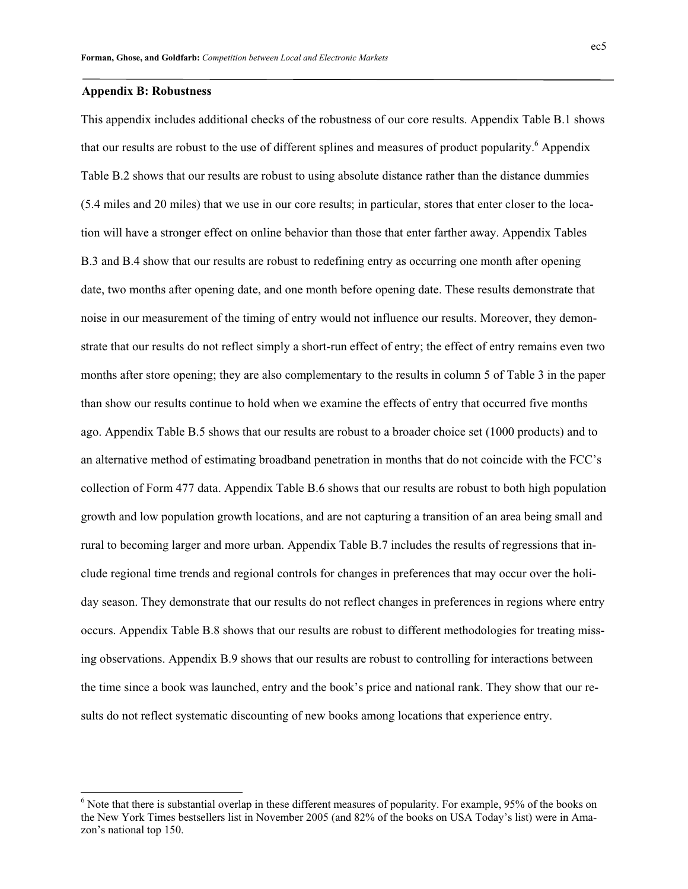### **Appendix B: Robustness**

 $\overline{a}$ 

This appendix includes additional checks of the robustness of our core results. Appendix Table B.1 shows that our results are robust to the use of different splines and measures of product popularity.<sup>6</sup> Appendix Table B.2 shows that our results are robust to using absolute distance rather than the distance dummies (5.4 miles and 20 miles) that we use in our core results; in particular, stores that enter closer to the location will have a stronger effect on online behavior than those that enter farther away. Appendix Tables B.3 and B.4 show that our results are robust to redefining entry as occurring one month after opening date, two months after opening date, and one month before opening date. These results demonstrate that noise in our measurement of the timing of entry would not influence our results. Moreover, they demonstrate that our results do not reflect simply a short-run effect of entry; the effect of entry remains even two months after store opening; they are also complementary to the results in column 5 of Table 3 in the paper than show our results continue to hold when we examine the effects of entry that occurred five months ago. Appendix Table B.5 shows that our results are robust to a broader choice set (1000 products) and to an alternative method of estimating broadband penetration in months that do not coincide with the FCC's collection of Form 477 data. Appendix Table B.6 shows that our results are robust to both high population growth and low population growth locations, and are not capturing a transition of an area being small and rural to becoming larger and more urban. Appendix Table B.7 includes the results of regressions that include regional time trends and regional controls for changes in preferences that may occur over the holiday season. They demonstrate that our results do not reflect changes in preferences in regions where entry occurs. Appendix Table B.8 shows that our results are robust to different methodologies for treating missing observations. Appendix B.9 shows that our results are robust to controlling for interactions between the time since a book was launched, entry and the book's price and national rank. They show that our results do not reflect systematic discounting of new books among locations that experience entry.

 $6$  Note that there is substantial overlap in these different measures of popularity. For example, 95% of the books on the New York Times bestsellers list in November 2005 (and 82% of the books on USA Today's list) were in Amazon's national top 150.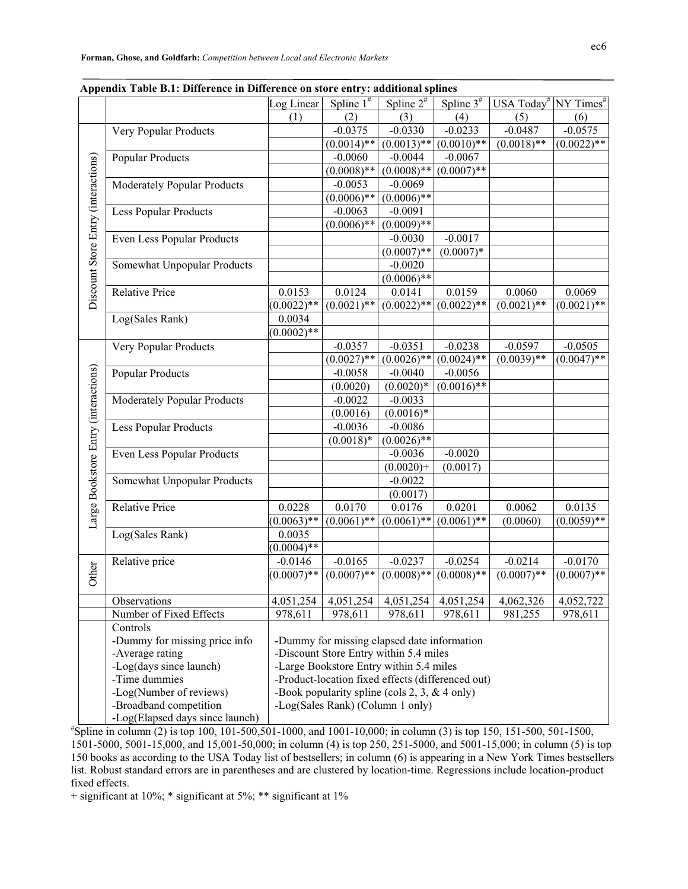|                                      |                                 | Log Linear                                                                                   | Spline $1^{\#}$                                 | Spline $2^{\#}$          | Spline $3^{\#}$             | USA Today <sup>#</sup> NY Times <sup>#</sup> |               |
|--------------------------------------|---------------------------------|----------------------------------------------------------------------------------------------|-------------------------------------------------|--------------------------|-----------------------------|----------------------------------------------|---------------|
|                                      |                                 | (1)                                                                                          | (2)                                             | (3)                      | (4)                         | (5)                                          | (6)           |
|                                      | Very Popular Products           |                                                                                              | $-0.0375$                                       | $-0.0330$                | $-0.0233$                   | $-0.0487$                                    | $-0.0575$     |
|                                      |                                 |                                                                                              | $(0.0014)$ **                                   |                          | $(0.0013)$ ** $(0.0010)$ ** | $(0.0018)$ **                                | $(0.0022)$ ** |
|                                      | <b>Popular Products</b>         |                                                                                              | $-0.0060$                                       | $-0.0044$                | $-0.0067$                   |                                              |               |
| Discount Store Entry (interactions)  |                                 |                                                                                              | $(0.0008)$ **                                   | $(0.0008)$ **            | $(0.0007)$ **               |                                              |               |
|                                      | Moderately Popular Products     |                                                                                              | $-0.0053$                                       | $-0.0069$                |                             |                                              |               |
|                                      |                                 |                                                                                              | $(0.0006)$ **                                   | $(0.0006)$ **            |                             |                                              |               |
|                                      | <b>Less Popular Products</b>    |                                                                                              | $-0.0063$                                       | $-0.0091$                |                             |                                              |               |
|                                      |                                 |                                                                                              | $(0.0006)**$                                    | $(0.0009)$ **            |                             |                                              |               |
|                                      | Even Less Popular Products      |                                                                                              |                                                 | $-0.0030$                | $-0.0017$                   |                                              |               |
|                                      |                                 |                                                                                              |                                                 | $(0.0007)$ **            | $(0.0007)*$                 |                                              |               |
|                                      | Somewhat Unpopular Products     |                                                                                              |                                                 | $-0.0020$                |                             |                                              |               |
|                                      |                                 |                                                                                              |                                                 | $(0.0006)$ **            |                             |                                              |               |
|                                      | <b>Relative Price</b>           | 0.0153                                                                                       | 0.0124                                          | 0.0141                   | 0.0159                      | 0.0060                                       | 0.0069        |
|                                      |                                 | $(0.0022)$ **                                                                                | $(0.0021)$ **                                   | $(0.0022)**$             | $(0.0022)$ **               | $(0.0021)$ **                                | $(0.0021)$ ** |
|                                      | Log(Sales Rank)                 | 0.0034                                                                                       |                                                 |                          |                             |                                              |               |
|                                      |                                 | $(0.0002)$ **                                                                                |                                                 |                          |                             |                                              |               |
|                                      | Very Popular Products           |                                                                                              | $-0.0357$                                       | $-0.0351$                | $-0.0238$                   | $-0.0597$                                    | $-0.0505$     |
|                                      |                                 |                                                                                              | $(0.0027)$ **                                   |                          | $(0.0026)$ ** $(0.0024)$ ** | $(0.0039)$ **                                | $(0.0047)$ ** |
|                                      | <b>Popular Products</b>         |                                                                                              | $-0.0058$                                       | $-0.0040$                | $-0.0056$                   |                                              |               |
|                                      |                                 |                                                                                              | (0.0020)                                        | $(0.0020)*$              | $(0.0016)$ **               |                                              |               |
|                                      | Moderately Popular Products     |                                                                                              | $-0.0022$                                       | $-0.0033$                |                             |                                              |               |
|                                      |                                 |                                                                                              | (0.0016)                                        | $(0.0016)*$              |                             |                                              |               |
|                                      | <b>Less Popular Products</b>    |                                                                                              | $-0.0036$                                       | $-0.0086$                |                             |                                              |               |
|                                      |                                 |                                                                                              | $(0.0018)*$                                     | $(0.0026)$ **            |                             |                                              |               |
|                                      | Even Less Popular Products      |                                                                                              |                                                 | $-0.0036$                | $-0.0020$                   |                                              |               |
|                                      |                                 |                                                                                              |                                                 | $(0.0020)+$              | (0.0017)                    |                                              |               |
|                                      | Somewhat Unpopular Products     |                                                                                              |                                                 | $-0.0022$                |                             |                                              |               |
| Large Bookstore Entry (interactions) |                                 |                                                                                              |                                                 | (0.0017)                 |                             |                                              |               |
|                                      | <b>Relative Price</b>           | 0.0228                                                                                       | 0.0170                                          | 0.0176                   | 0.0201                      | 0.0062                                       | 0.0135        |
|                                      |                                 | $(0.0063)$ **                                                                                | $(0.0061)$ **                                   | $(0.0061)$ **            | $(0.0061)$ **               | (0.0060)                                     | $(0.0059)$ ** |
|                                      | Log(Sales Rank)                 | 0.0035                                                                                       |                                                 |                          |                             |                                              |               |
|                                      |                                 | $(0.0004)$ **                                                                                |                                                 |                          |                             |                                              |               |
|                                      | Relative price                  | $-0.0146$                                                                                    | $-0.0165$                                       | $-0.0237$                | $-0.0254$                   | $-0.0214$                                    | $-0.0170$     |
| Other                                |                                 | $(0.0007)$ **                                                                                | $(0.0007)$ **                                   | $(0.0008)$ **            | $(0.0008)$ **               | $(0.0007)$ **                                | $(0.0007)$ ** |
|                                      |                                 |                                                                                              |                                                 |                          |                             |                                              |               |
|                                      | Observations                    | 4,051,254                                                                                    | 4,051,254                                       | $\overline{4,051}$ , 254 | 4,051,254                   | 4,062,326                                    | 4,052,722     |
|                                      | Number of Fixed Effects         | 978,611                                                                                      | 978,611                                         | 978,611                  | 978,611                     | 981,255                                      | 978,611       |
|                                      | Controls                        |                                                                                              |                                                 |                          |                             |                                              |               |
|                                      | -Dummy for missing price info   | -Dummy for missing elapsed date information                                                  |                                                 |                          |                             |                                              |               |
|                                      | -Average rating                 | -Discount Store Entry within 5.4 miles                                                       |                                                 |                          |                             |                                              |               |
|                                      | -Log(days since launch)         | -Large Bookstore Entry within 5.4 miles<br>-Product-location fixed effects (differenced out) |                                                 |                          |                             |                                              |               |
|                                      | -Time dummies                   |                                                                                              |                                                 |                          |                             |                                              |               |
|                                      | -Log(Number of reviews)         |                                                                                              | -Book popularity spline (cols 2, 3, $&$ 4 only) |                          |                             |                                              |               |
|                                      | -Broadband competition          |                                                                                              | -Log(Sales Rank) (Column 1 only)                |                          |                             |                                              |               |
|                                      | -Log(Elapsed days since launch) |                                                                                              |                                                 |                          |                             |                                              |               |

#### **Appendix Table B.1: Difference in Difference on store entry: additional splines**

 $*$ Spline in column (2) is top 100, 101-500,501-1000, and 1001-10,000; in column (3) is top 150, 151-500, 501-1500, 1501-5000, 5001-15,000, and 15,001-50,000; in column (4) is top 250, 251-5000, and 5001-15,000; in column (5) is top 150 books as according to the USA Today list of bestsellers; in column (6) is appearing in a New York Times bestsellers list. Robust standard errors are in parentheses and are clustered by location-time. Regressions include location-product fixed effects.

+ significant at 10%; \* significant at 5%; \*\* significant at 1%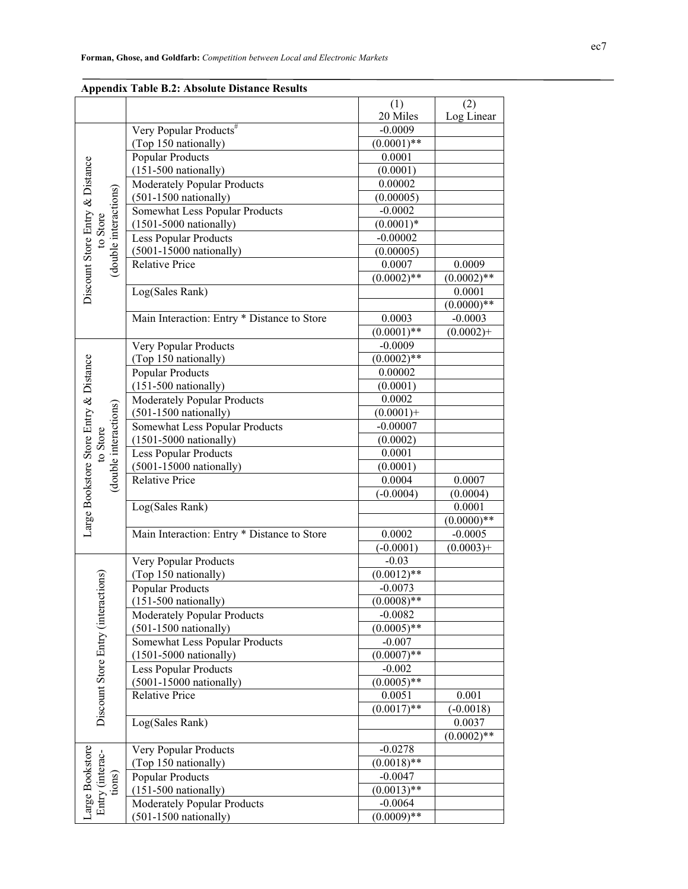|                                                          | Appendix Table D.2. Absolute Distance Results |                           |               |
|----------------------------------------------------------|-----------------------------------------------|---------------------------|---------------|
|                                                          |                                               | (1)                       | (2)           |
|                                                          |                                               | 20 Miles                  | Log Linear    |
|                                                          | Very Popular Products <sup>#</sup>            | $-0.0009$                 |               |
|                                                          | (Top 150 nationally)                          | $(0.0001)$ **             |               |
|                                                          | <b>Popular Products</b>                       | 0.0001                    |               |
|                                                          | $(151-500 \text{ nationally})$                | (0.0001)<br>0.00002       |               |
| Discount Store Entry & Distance<br>(double interactions) | Moderately Popular Products                   |                           |               |
|                                                          | $(501-1500 \text{ nationally})$               | (0.00005)<br>$-0.0002$    |               |
|                                                          | Somewhat Less Popular Products                |                           |               |
| to Store                                                 | $(1501 - 5000 \text{ nationally})$            | $(0.0001)*$<br>$-0.00002$ |               |
|                                                          | <b>Less Popular Products</b>                  |                           |               |
|                                                          | $(5001-15000 \text{ rationally})$             | (0.00005)                 |               |
|                                                          | <b>Relative Price</b>                         | 0.0007                    | 0.0009        |
|                                                          |                                               | $(0.0002)$ **             | $(0.0002)$ ** |
|                                                          | Log(Sales Rank)                               |                           | 0.0001        |
|                                                          |                                               |                           | $(0.0000)**$  |
|                                                          | Main Interaction: Entry * Distance to Store   | 0.0003                    | $-0.0003$     |
|                                                          |                                               | $(0.0001)$ **             | $(0.0002)+$   |
|                                                          | Very Popular Products                         | $-0.0009$                 |               |
|                                                          | (Top 150 nationally)                          | $(0.0002)$ **             |               |
|                                                          | <b>Popular Products</b>                       | 0.00002                   |               |
|                                                          | $(151-500 \text{ nationally})$                | (0.0001)                  |               |
|                                                          | Moderately Popular Products                   | 0.0002                    |               |
| (double interactions)                                    | $(501-1500 \text{ nationally})$               | $(0.0001) +$              |               |
|                                                          | Somewhat Less Popular Products                | $-0.00007$                |               |
| to Store                                                 | $(1501 - 5000 \text{ nationally})$            | (0.0002)                  |               |
|                                                          | <b>Less Popular Products</b>                  | 0.0001                    |               |
|                                                          | $(5001-15000 \text{ rationally})$             | (0.0001)                  |               |
|                                                          | <b>Relative Price</b>                         | 0.0004                    | 0.0007        |
| Large Bookstore Store Entry & Distance                   |                                               | $(-0.0004)$               | (0.0004)      |
|                                                          | Log(Sales Rank)                               |                           | 0.0001        |
|                                                          |                                               |                           | $(0.0000)**$  |
|                                                          | Main Interaction: Entry * Distance to Store   | 0.0002                    | $-0.0005$     |
|                                                          |                                               | $(-0.0001)$               | $(0.0003) +$  |
|                                                          | Very Popular Products                         | $-0.03$                   |               |
| tions)                                                   | (Top 150 nationally)                          | $(0.0012)$ **             |               |
|                                                          | <b>Popular Products</b>                       | $-0.0073$                 |               |
| Discount Store Entry (interact                           | $(151-500 \text{ nationally})$                | $(0.0008)$ **             |               |
|                                                          | Moderately Popular Products                   | $-0.0082$                 |               |
|                                                          | $(501-1500$ nationally)                       | $(0.0005)$ **             |               |
|                                                          | Somewhat Less Popular Products                | $-0.007$                  |               |
|                                                          | $(1501 - 5000 \text{ nationally})$            | $(0.0007)$ **             |               |
|                                                          | <b>Less Popular Products</b>                  | $-0.002$                  |               |
|                                                          | $(5001 - 15000 \text{ nationally})$           | $(0.0005)$ **             |               |
|                                                          | <b>Relative Price</b>                         | 0.0051                    | 0.001         |
|                                                          |                                               | $(0.0017)$ **             | $(-0.0018)$   |
|                                                          | Log(Sales Rank)                               |                           | 0.0037        |
|                                                          |                                               |                           | $(0.0002)$ ** |
|                                                          | Very Popular Products                         | $-0.0278$                 |               |
|                                                          | (Top 150 nationally)                          | $(0.0018)$ **             |               |
| Large Bookstore<br>Entry (interac-<br>tions)             | <b>Popular Products</b>                       | $-0.0047$                 |               |
|                                                          | $(151-500 \text{ nationally})$                | $(0.0013)$ **             |               |
|                                                          | Moderately Popular Products                   | $-0.0064$                 |               |
|                                                          | $(501-1500 \text{ nationally})$               | $(0.0009)$ **             |               |

## **Appendix Table B.2: Absolute Distance Results**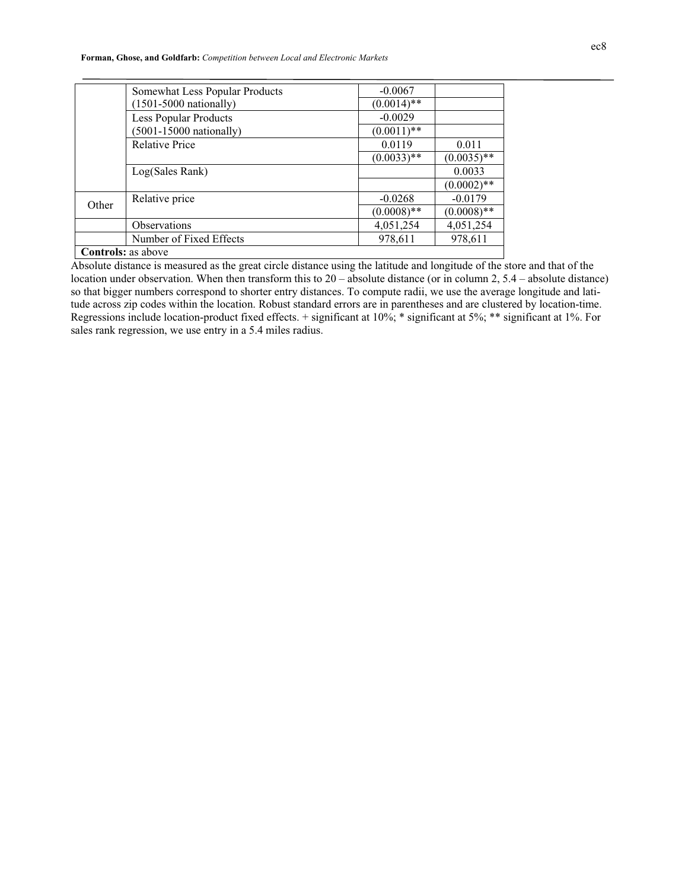**Forman, Ghose, and Goldfarb:** *Competition between Local and Electronic Markets* 

|       | Somewhat Less Popular Products     | $-0.0067$     |               |
|-------|------------------------------------|---------------|---------------|
|       | $(1501 - 5000 \text{ nationally})$ | $(0.0014)$ ** |               |
|       | <b>Less Popular Products</b>       | $-0.0029$     |               |
|       | $(5001-15000 \text{ rationally})$  | $(0.0011)$ ** |               |
|       | <b>Relative Price</b>              | 0.0119        | 0.011         |
|       |                                    | $(0.0033)$ ** | $(0.0035)$ ** |
|       | Log(Sales Rank)                    |               | 0.0033        |
|       |                                    |               | $(0.0002)$ ** |
| Other | Relative price                     | $-0.0268$     | $-0.0179$     |
|       |                                    | $(0.0008)$ ** | $(0.0008)$ ** |
|       | <b>Observations</b>                | 4,051,254     | 4,051,254     |
|       | Number of Fixed Effects            | 978,611       | 978,611       |
|       | <b>Controls:</b> as above          |               |               |

Absolute distance is measured as the great circle distance using the latitude and longitude of the store and that of the location under observation. When then transform this to 20 – absolute distance (or in column 2, 5.4 – absolute distance) so that bigger numbers correspond to shorter entry distances. To compute radii, we use the average longitude and latitude across zip codes within the location. Robust standard errors are in parentheses and are clustered by location-time. Regressions include location-product fixed effects. + significant at 10%; \* significant at 5%; \*\* significant at 1%. For sales rank regression, we use entry in a 5.4 miles radius.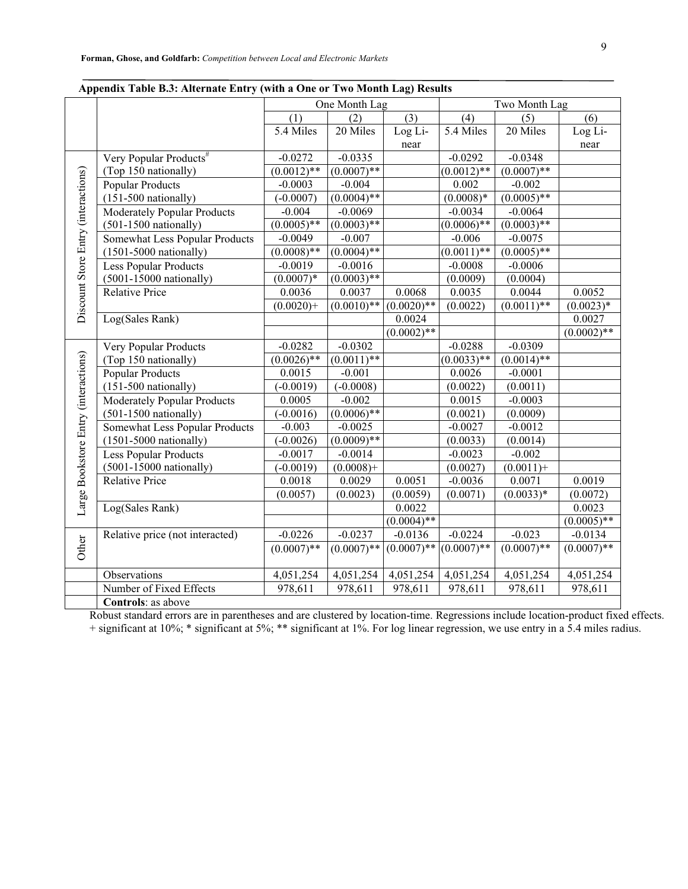| r r                                  | ັ່                                 | ᇢ<br>One Month Lag |                 |               | Two Month Lag |               |               |
|--------------------------------------|------------------------------------|--------------------|-----------------|---------------|---------------|---------------|---------------|
|                                      |                                    | (1)                | (2)             | (3)           | (4)           | (5)           | (6)           |
|                                      |                                    | 5.4 Miles          | 20 Miles        | Log Li-       | 5.4 Miles     | 20 Miles      | Log Li-       |
|                                      |                                    |                    |                 | near          |               |               | near          |
|                                      | Very Popular Products <sup>#</sup> | $-0.0272$          | $-0.0335$       |               | $-0.0292$     | $-0.0348$     |               |
|                                      | (Top 150 nationally)               | $(0.0012)$ **      | $(0.0007)$ **   |               | $(0.0012)$ ** | $(0.0007)$ ** |               |
|                                      | <b>Popular Products</b>            | $-0.0003$          | $-0.004$        |               | 0.002         | $-0.002$      |               |
|                                      | $(151-500 \text{ rationally})$     | $(-0.0007)$        | $(0.0004)$ **   |               | $(0.0008)*$   | $(0.0005)$ ** |               |
| Discount Store Entry (interactions)  | Moderately Popular Products        | $-0.004$           | $-0.0069$       |               | $-0.0034$     | $-0.0064$     |               |
|                                      | $(501-1500$ nationally)            | $(0.0005)$ **      | $(0.0003)$ **   |               | $(0.0006)$ ** | $(0.0003)$ ** |               |
|                                      | Somewhat Less Popular Products     | $-0.0049$          | $-0.007$        |               | $-0.006$      | $-0.0075$     |               |
|                                      | $(1501 - 5000 \text{ nationally})$ | $(0.0008)$ **      | $(0.0004)^{**}$ |               | $(0.0011)$ ** | $(0.0005)$ ** |               |
|                                      | Less Popular Products              | $-0.0019$          | $-0.0016$       |               | $-0.0008$     | $-0.0006$     |               |
|                                      | $(5001-15000 \text{ nationally})$  | $(0.0007)*$        | $(0.0003)$ **   |               | (0.0009)      | (0.0004)      |               |
|                                      | <b>Relative Price</b>              | 0.0036             | 0.0037          | 0.0068        | 0.0035        | 0.0044        | 0.0052        |
|                                      |                                    | $(0.0020)+$        | $(0.0010)$ **   | $(0.0020)$ ** | (0.0022)      | $(0.0011)$ ** | $(0.0023)*$   |
|                                      | Log(Sales Rank)                    |                    |                 | 0.0024        |               |               | 0.0027        |
|                                      |                                    |                    |                 | $(0.0002)$ ** |               |               | $(0.0002)$ ** |
|                                      | Very Popular Products              | $-0.0282$          | $-0.0302$       |               | $-0.0288$     | $-0.0309$     |               |
|                                      | (Top 150 nationally)               | $(0.0026)$ **      | $(0.0011)$ **   |               | $(0.0033)$ ** | $(0.0014)$ ** |               |
|                                      | <b>Popular Products</b>            | 0.0015             | $-0.001$        |               | 0.0026        | $-0.0001$     |               |
|                                      | $(151-500 \text{ nationally})$     | $(-0.0019)$        | $(-0.0008)$     |               | (0.0022)      | (0.0011)      |               |
|                                      | Moderately Popular Products        | 0.0005             | $-0.002$        |               | 0.0015        | $-0.0003$     |               |
|                                      | $(501-1500 \text{ nationally})$    | $(-0.0016)$        | $(0.0006)$ **   |               | (0.0021)      | (0.0009)      |               |
|                                      | Somewhat Less Popular Products     | $-0.003$           | $-0.0025$       |               | $-0.0027$     | $-0.0012$     |               |
|                                      | $(1501-5000 \text{ nationally})$   | $(-0.0026)$        | $(0.0009)$ **   |               | (0.0033)      | (0.0014)      |               |
| Large Bookstore Entry (interactions) | Less Popular Products              | $-0.0017$          | $-0.0014$       |               | $-0.0023$     | $-0.002$      |               |
|                                      | $(5001-15000 \text{ rationally})$  | $(-0.0019)$        | $(0.0008) +$    |               | (0.0027)      | $(0.0011) +$  |               |
|                                      | <b>Relative Price</b>              | 0.0018             | 0.0029          | 0.0051        | $-0.0036$     | 0.0071        | 0.0019        |
|                                      |                                    | (0.0057)           | (0.0023)        | (0.0059)      | (0.0071)      | $(0.0033)*$   | (0.0072)      |
|                                      | Log(Sales Rank)                    |                    |                 | 0.0022        |               |               | 0.0023        |
|                                      |                                    |                    |                 | $(0.0004)$ ** |               |               | $(0.0005)*$   |
|                                      | Relative price (not interacted)    | $-0.0226$          | $-0.0237$       | $-0.0136$     | $-0.0224$     | $-0.023$      | $-0.0134$     |
| Other                                |                                    | $(0.0007)$ **      | $(0.0007)$ **   | $(0.0007)$ ** | $(0.0007)$ ** | $(0.0007)$ ** | $(0.0007)$ ** |
|                                      |                                    |                    |                 |               |               |               |               |
|                                      | Observations                       | 4,051,254          | 4,051,254       | 4,051,254     | 4,051,254     | 4,051,254     | 4,051,254     |
|                                      | Number of Fixed Effects            | 978,611            | 978,611         | 978,611       | 978,611       | 978,611       | 978,611       |
|                                      | Controls: as above                 |                    |                 |               |               |               |               |

#### **Appendix Table B.3: Alternate Entry (with a One or Two Month Lag) Results**

Robust standard errors are in parentheses and are clustered by location-time. Regressions include location-product fixed effects. + significant at 10%; \* significant at 5%; \*\* significant at 1%. For log linear regression, we use entry in a 5.4 miles radius.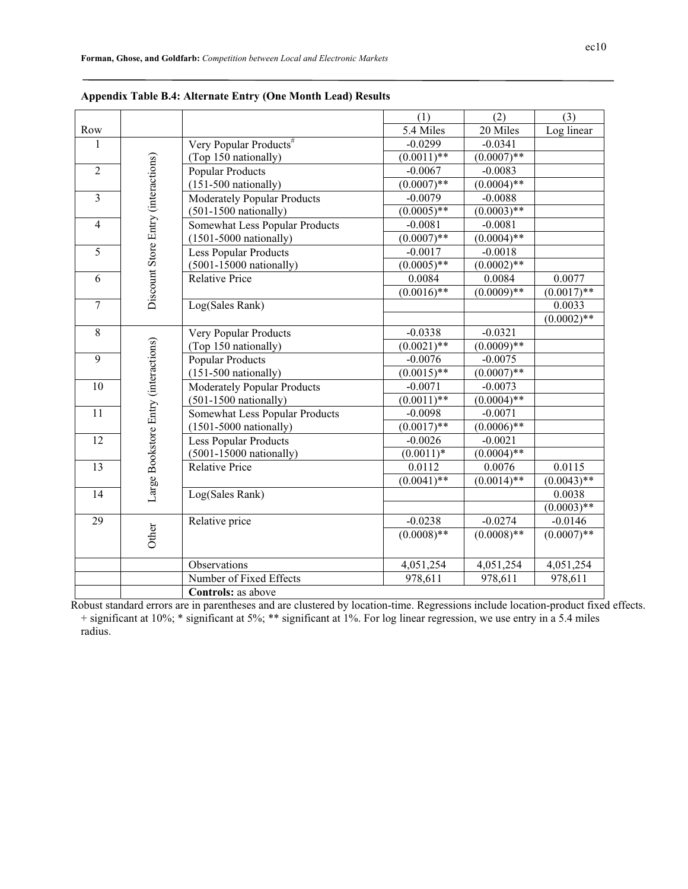|                         |                                      |                                    | (1)                        | (2)           | (3)           |
|-------------------------|--------------------------------------|------------------------------------|----------------------------|---------------|---------------|
| Row                     |                                      |                                    | 5.4 Miles                  | 20 Miles      | Log linear    |
| 1                       |                                      | Very Popular Products <sup>#</sup> | $-0.0299$                  | $-0.0341$     |               |
|                         |                                      | (Top 150 nationally)               | $\overline{(0.0011)^{**}}$ | $(0.0007)$ ** |               |
| $\overline{2}$          |                                      | <b>Popular Products</b>            | $-0.0067$                  | $-0.0083$     |               |
|                         |                                      | $(151-500$ nationally)             | $(0.0007)$ **              | $(0.0004)$ ** |               |
| $\overline{\mathbf{3}}$ |                                      | Moderately Popular Products        | $-0.0079$                  | $-0.0088$     |               |
|                         |                                      | $(501-1500$ nationally)            | $(0.0005)$ **              | $(0.0003)$ ** |               |
| $\overline{4}$          |                                      | Somewhat Less Popular Products     | $-0.0081$                  | $-0.0081$     |               |
|                         |                                      | $(1501-5000 \text{ nationally})$   | $(0.0007)$ **              | $(0.0004)$ ** |               |
| $\overline{5}$          |                                      | <b>Less Popular Products</b>       | $-0.0017$                  | $-0.0018$     |               |
|                         |                                      | $(5001-15000 \text{ nationally})$  | $(0.0005)$ **              | $(0.0002)$ ** |               |
| 6                       |                                      | <b>Relative Price</b>              | 0.0084                     | 0.0084        | 0.0077        |
|                         | Discount Store Entry (interactions)  |                                    | $(0.0016)$ **              | $(0.0009)$ ** | $(0.0017)$ ** |
| $\overline{7}$          |                                      | Log(Sales Rank)                    |                            |               | 0.0033        |
|                         |                                      |                                    |                            |               | $(0.0002)$ ** |
| 8                       |                                      | Very Popular Products              | $-0.0338$                  | $-0.0321$     |               |
|                         |                                      | (Top 150 nationally)               | $(0.0021)$ **              | $(0.0009)$ ** |               |
| $\overline{9}$          |                                      | <b>Popular Products</b>            | $-0.0076$                  | $-0.0075$     |               |
|                         |                                      | $(151-500 \text{ nationally})$     | $(0.0015)$ **              | $(0.0007)$ ** |               |
| 10                      |                                      | Moderately Popular Products        | $-0.0071$                  | $-0.0073$     |               |
|                         |                                      | $(501-1500$ nationally)            | $(0.0011)$ **              | $(0.0004)$ ** |               |
| 11                      |                                      | Somewhat Less Popular Products     | $-0.0098$                  | $-0.0071$     |               |
|                         |                                      | $(1501 - 5000 \text{ nationally})$ | $(0.0017)$ **              | $(0.0006)$ ** |               |
| $\overline{12}$         |                                      | <b>Less Popular Products</b>       | $-0.0026$                  | $-0.0021$     |               |
|                         |                                      | $(5001-15000 \text{ nationally})$  | $(0.0011)^*$               | $(0.0004)$ ** |               |
| 13                      |                                      | <b>Relative Price</b>              | 0.0112                     | 0.0076        | 0.0115        |
|                         | Large Bookstore Entry (interactions) |                                    | $(0.0041)$ **              | $(0.0014)$ ** | $(0.0043)$ ** |
| 14                      |                                      | Log(Sales Rank)                    |                            |               | 0.0038        |
|                         |                                      |                                    |                            |               | $(0.0003)$ ** |
| 29                      |                                      | Relative price                     | $-0.0238$                  | $-0.0274$     | $-0.0146$     |
|                         | Other                                |                                    | $(0.0008)$ **              | $(0.0008)$ ** | $(0.0007)$ ** |
|                         |                                      |                                    |                            |               |               |
|                         |                                      | Observations                       | 4,051,254                  | 4,051,254     | 4,051,254     |
|                         |                                      | Number of Fixed Effects            | 978,611                    | 978,611       | 978,611       |
|                         |                                      | Controls: as above                 |                            |               |               |

Robust standard errors are in parentheses and are clustered by location-time. Regressions include location-product fixed effects. + significant at 10%; \* significant at 5%; \*\* significant at 1%. For log linear regression, we use entry in a 5.4 miles radius.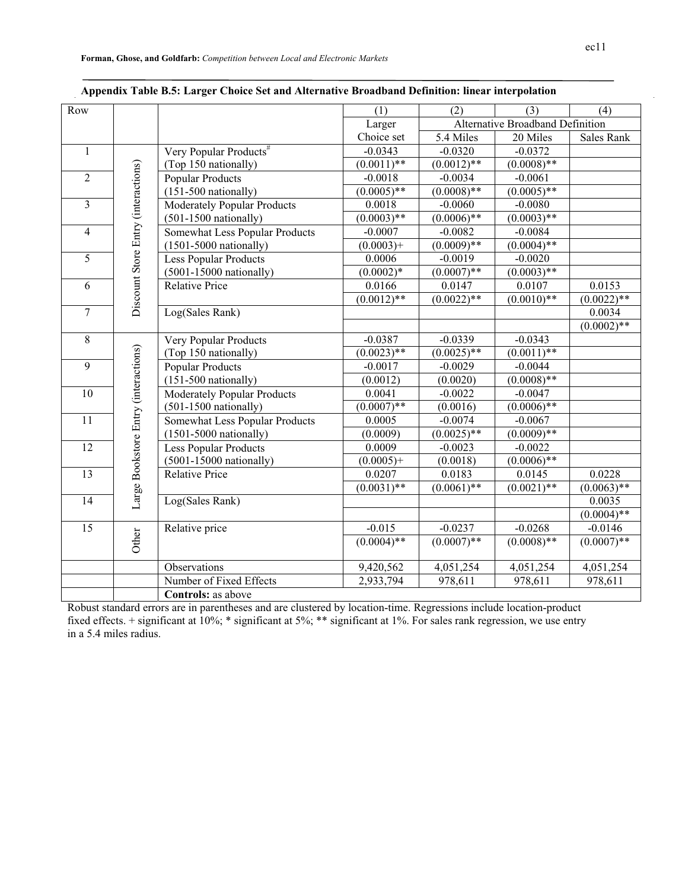| Row            |                                      |                                    | (1)                      | (2)           | (3)                              | (4)               |
|----------------|--------------------------------------|------------------------------------|--------------------------|---------------|----------------------------------|-------------------|
|                |                                      |                                    | Larger                   |               | Alternative Broadband Definition |                   |
|                |                                      |                                    | Choice set               | 5.4 Miles     | 20 Miles                         | <b>Sales Rank</b> |
| $\mathbf{1}$   |                                      | Very Popular Products <sup>#</sup> | $-0.0343$                | $-0.0320$     | $-0.0372$                        |                   |
|                |                                      | (Top 150 nationally)               | $(0.00\overline{11})$ ** | $(0.0012)$ ** | $(0.0008)$ **                    |                   |
| $\overline{2}$ | Discount Store Entry (interactions)  | <b>Popular Products</b>            | $-0.0018$                | $-0.0034$     | $-0.0061$                        |                   |
|                |                                      | $(151-500 \text{ nationally})$     | $(0.0005)$ **            | $(0.0008)$ ** | $(0.0005)$ **                    |                   |
| 3              |                                      | Moderately Popular Products        | 0.0018                   | $-0.0060$     | $-0.0080$                        |                   |
|                |                                      | $(501-1500 \text{ nationally})$    | $(0.0003)$ **            | $(0.0006)$ ** | $(0.0003)$ **                    |                   |
| $\overline{4}$ |                                      | Somewhat Less Popular Products     | $-0.0007$                | $-0.0082$     | $-0.0084$                        |                   |
|                |                                      | $(1501-5000 \text{ nationally})$   | $(0.0003) +$             | $(0.0009)$ ** | $(0.0004)$ **                    |                   |
| $\overline{5}$ |                                      | Less Popular Products              | 0.0006                   | $-0.0019$     | $-0.0020$                        |                   |
|                |                                      | $(5001-15000 \text{ nationally})$  | $(0.0002)*$              | $(0.0007)$ ** | $(0.0003)$ **                    |                   |
| 6              |                                      | <b>Relative Price</b>              | 0.0166                   | 0.0147        | 0.0107                           | 0.0153            |
|                |                                      |                                    | $(0.0012)$ <sup>**</sup> | $(0.0022)$ ** | $(0.0010)**$                     | $(0.0022)$ **     |
| $\overline{7}$ |                                      | Log(Sales Rank)                    |                          |               |                                  | 0.0034            |
|                |                                      |                                    |                          |               |                                  | $(0.0002)$ **     |
| $8\,$          |                                      | Very Popular Products              | $-0.0387$                | $-0.0339$     | $-0.0343$                        |                   |
|                |                                      | (Top 150 nationally)               | $(0.0023)$ **            | $(0.0025)$ ** | $(0.0011)$ **                    |                   |
| 9              | Large Bookstore Entry (interactions) | <b>Popular Products</b>            | $-0.0017$                | $-0.0029$     | $-0.0044$                        |                   |
|                |                                      | $(151-500$ nationally)             | (0.0012)                 | (0.0020)      | $(0.0008)$ **                    |                   |
| 10             |                                      | Moderately Popular Products        | 0.0041                   | $-0.0022$     | $-0.0047$                        |                   |
|                |                                      | $(501-1500 \text{ nationally})$    | $(0.0007)*$              | (0.0016)      | $(0.0006)$ **                    |                   |
| 11             |                                      | Somewhat Less Popular Products     | 0.0005                   | $-0.0074$     | $-0.0067$                        |                   |
|                |                                      | $(1501-5000 \text{ nationally})$   | (0.0009)                 | $(0.0025)$ ** | $(0.0009)$ **                    |                   |
| 12             |                                      | Less Popular Products              | 0.0009                   | $-0.0023$     | $-0.0022$                        |                   |
|                |                                      | $(5001-15000 \text{ nationally})$  | $(0.0005) +$             | (0.0018)      | $(0.0006)$ **                    |                   |
| 13             |                                      | <b>Relative Price</b>              | 0.0207                   | 0.0183        | 0.0145                           | 0.0228            |
|                |                                      |                                    | $(0.0031)$ **            | $(0.0061)$ ** | $(0.0021)$ **                    | $(0.0063)$ **     |
| 14             |                                      | Log(Sales Rank)                    |                          |               |                                  | 0.0035            |
|                |                                      |                                    |                          |               |                                  | $(0.0004)$ **     |
| 15             |                                      | Relative price                     | $-0.015$                 | $-0.0237$     | $-0.0268$                        | $-0.0146$         |
|                | Other                                |                                    | $(0.0004)$ **            | $(0.0007)$ ** | $(0.0008)$ **                    | $(0.0007)$ **     |
|                |                                      |                                    |                          |               |                                  |                   |
|                |                                      | Observations                       | 9,420,562                | 4,051,254     | 4,051,254                        | 4,051,254         |
|                |                                      | Number of Fixed Effects            | 2,933,794                | 978,611       | 978,611                          | 978,611           |
|                |                                      | Controls: as above                 |                          |               |                                  |                   |

|  |  |  |  | Appendix Table B.5: Larger Choice Set and Alternative Broadband Definition: linear interpolation |
|--|--|--|--|--------------------------------------------------------------------------------------------------|
|  |  |  |  |                                                                                                  |

Robust standard errors are in parentheses and are clustered by location-time. Regressions include location-product fixed effects. + significant at 10%; \* significant at 5%; \*\* significant at 1%. For sales rank regression, we use entry in a 5.4 miles radius.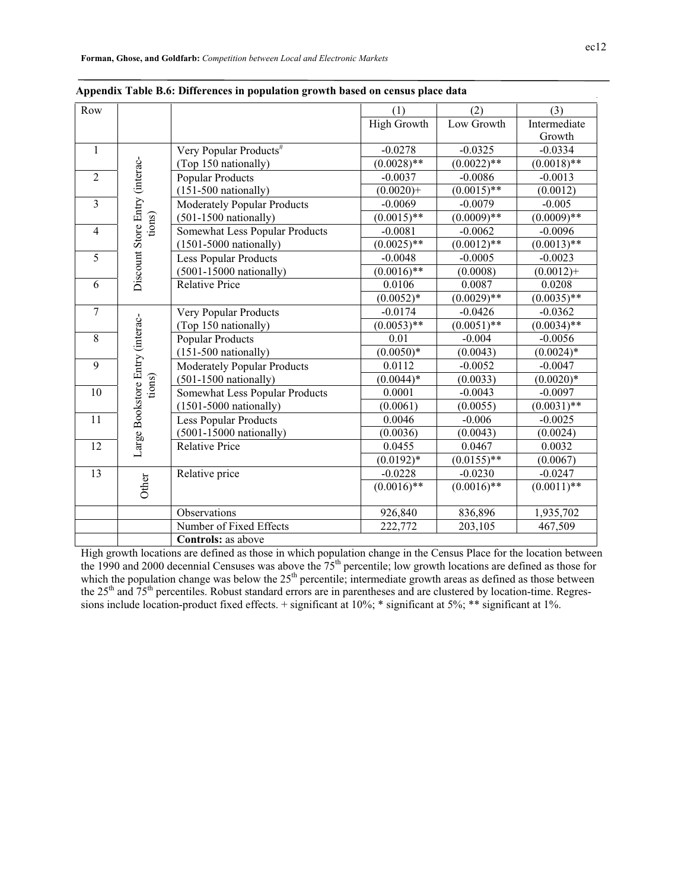| ec12 |
|------|
|      |

| Row                     |                                 |                                    | (1)                | (2)           | (3)           |
|-------------------------|---------------------------------|------------------------------------|--------------------|---------------|---------------|
|                         |                                 |                                    | <b>High Growth</b> | Low Growth    | Intermediate  |
|                         |                                 |                                    |                    |               | Growth        |
| $\mathbf{1}$            |                                 | Very Popular Products <sup>#</sup> | $-0.0278$          | $-0.0325$     | $-0.0334$     |
|                         |                                 | (Top 150 nationally)               | $(0.0028)$ **      | $(0.0022)$ ** | $(0.0018)$ ** |
| $\overline{2}$          |                                 | <b>Popular Products</b>            | $-0.0037$          | $-0.0086$     | $-0.0013$     |
|                         |                                 | $(151-500 \text{ rationally})$     | $(0.0020) +$       | $(0.0015)$ ** | (0.0012)      |
| $\overline{\mathbf{3}}$ |                                 | <b>Moderately Popular Products</b> | $-0.0069$          | $-0.0079$     | $-0.005$      |
|                         | tions)                          | $(501-1500 \text{ nationally})$    | $(0.0015)$ **      | $(0.0009)$ ** | $(0.0009)**$  |
| $\overline{4}$          |                                 | Somewhat Less Popular Products     | $-0.0081$          | $-0.0062$     | $-0.0096$     |
|                         |                                 | $(1501-5000 \text{ nationally})$   | $(0.0025)$ **      | $(0.0012)$ ** | $(0.0013)$ ** |
| 5                       |                                 | <b>Less Popular Products</b>       | $-0.0048$          | $-0.0005$     | $-0.0023$     |
|                         | Discount Store Entry (interac-  | $(5001-15000 \text{ rationally})$  | $(0.0016)$ **      | (0.0008)      | $(0.0012) +$  |
| 6                       |                                 | <b>Relative Price</b>              | 0.0106             | 0.0087        | 0.0208        |
|                         |                                 |                                    | $(0.0052)*$        | $(0.0029)$ ** | $(0.0035)$ ** |
| $\overline{7}$          |                                 | Very Popular Products              | $-0.0174$          | $-0.0426$     | $-0.0362$     |
|                         | Large Bookstore Entry (interac- | (Top 150 nationally)               | $(0.0053)$ **      | $(0.0051)$ ** | $(0.0034)$ ** |
| 8                       |                                 | <b>Popular Products</b>            | 0.01               | $-0.004$      | $-0.0056$     |
|                         |                                 | $(151-500$ nationally)             | $(0.0050)*$        | (0.0043)      | $(0.0024)$ *  |
| 9                       |                                 | <b>Moderately Popular Products</b> | 0.0112             | $-0.0052$     | $-0.0047$     |
|                         | tions)                          | $(501-1500 \text{ nationally})$    | $(0.0044)*$        | (0.0033)      | $(0.0020)*$   |
| 10                      |                                 | Somewhat Less Popular Products     | 0.0001             | $-0.0043$     | $-0.0097$     |
|                         |                                 | $(1501 - 5000 \text{ nationally})$ | (0.0061)           | (0.0055)      | $(0.0031)$ ** |
| 11                      |                                 | <b>Less Popular Products</b>       | 0.0046             | $-0.006$      | $-0.0025$     |
|                         |                                 | $(5001-15000 \text{ nationally})$  | (0.0036)           | (0.0043)      | (0.0024)      |
| 12                      |                                 | <b>Relative Price</b>              | 0.0455             | 0.0467        | 0.0032        |
|                         |                                 |                                    | $(0.0192)*$        | $(0.0155)$ ** | (0.0067)      |
| 13                      |                                 | Relative price                     | $-0.0228$          | $-0.0230$     | $-0.0247$     |
|                         | Other                           |                                    | $(0.0016)$ **      | $(0.0016)$ ** | $(0.0011)$ ** |
|                         |                                 |                                    |                    |               |               |
|                         |                                 | Observations                       | 926,840            | 836,896       | 1,935,702     |
|                         |                                 | Number of Fixed Effects            | 222,772            | 203,105       | 467,509       |
|                         |                                 | <b>Controls:</b> as above          |                    |               |               |

| Appendix Table B.6: Differences in population growth based on census place data |  |  |  |  |
|---------------------------------------------------------------------------------|--|--|--|--|
|---------------------------------------------------------------------------------|--|--|--|--|

High growth locations are defined as those in which population change in the Census Place for the location between the 1990 and 2000 decennial Censuses was above the  $75<sup>th</sup>$  percentile; low growth locations are defined as those for which the population change was below the  $25<sup>th</sup>$  percentile; intermediate growth areas as defined as those between the  $25<sup>th</sup>$  and  $75<sup>th</sup>$  percentiles. Robust standard errors are in parentheses and are clustered by location-time. Regressions include location-product fixed effects. + significant at 10%; \* significant at 5%; \*\* significant at 1%.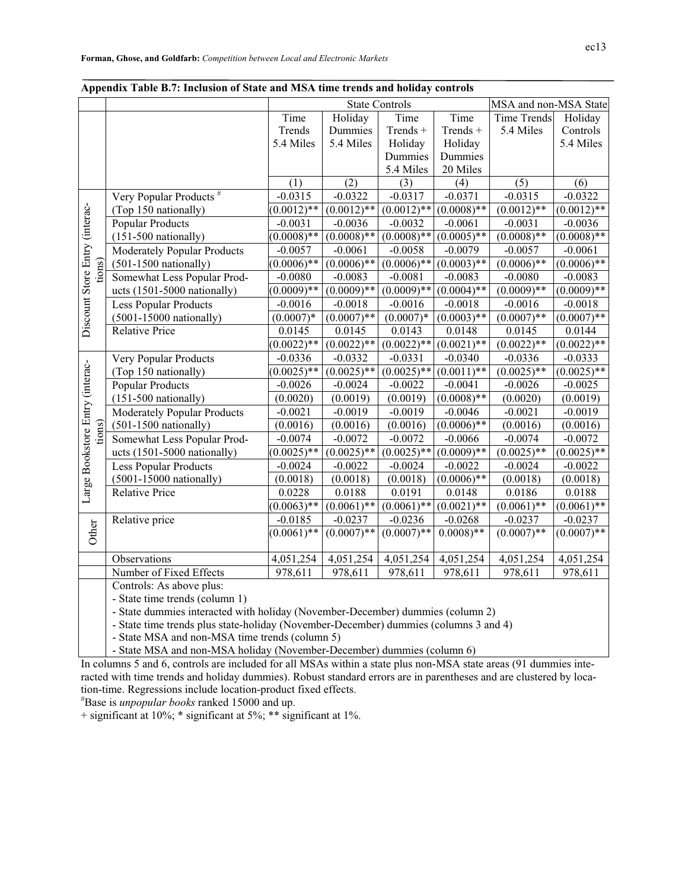| r 1                             |                                    | <b>State Controls</b>  |               |               |                 | MSA and non-MSA State |               |
|---------------------------------|------------------------------------|------------------------|---------------|---------------|-----------------|-----------------------|---------------|
|                                 |                                    | Time                   | Holiday       | Time          | Time            | <b>Time Trends</b>    | Holiday       |
|                                 |                                    | Trends                 | Dummies       | Trends +      | Trends +        | 5.4 Miles             | Controls      |
|                                 |                                    | 5.4 Miles              | 5.4 Miles     | Holiday       | Holiday         |                       | 5.4 Miles     |
|                                 |                                    |                        |               | Dummies       | Dummies         |                       |               |
|                                 |                                    |                        |               | 5.4 Miles     | 20 Miles        |                       |               |
|                                 |                                    | (1)                    | (2)           | (3)           | (4)             | (5)                   | (6)           |
|                                 | Very Popular Products <sup>#</sup> | $-0.0315$              | $-0.0322$     | $-0.0317$     | $-0.0371$       | $-0.0315$             | $-0.0322$     |
|                                 | (Top 150 nationally)               | $(0.0012)$ **          | $(0.0012)$ ** | $(0.0012)$ ** | $(0.0008)$ **   | $(0.0012)$ **         | $(0.0012)$ ** |
|                                 | <b>Popular Products</b>            | $-0.0031$              | $-0.0036$     | $-0.0032$     | $-0.0061$       | $-0.0031$             | $-0.0036$     |
|                                 | $(151-500$ nationally)             | $(0.0008)$ **          | $(0.0008)$ ** | $(0.0008)$ ** | $(0.0005)$ **   | $(0.0008)$ **         | $(0.0008)$ ** |
|                                 | <b>Moderately Popular Products</b> | $-0.0057$              | $-0.0061$     | $-0.0058$     | $-0.0079$       | $-0.0057$             | $-0.0061$     |
| tions)                          | $(501-1500 \text{ nationally})$    | $(0.0006)$ **          | $(0.0006)$ ** | $(0.0006)$ ** | $(0.0003)$ **   | $(0.0006)$ **         | $(0.0006)$ ** |
|                                 | Somewhat Less Popular Prod-        | $-0.0080$              | $-0.0083$     | $-0.0081$     | $-0.0083$       | $-0.0080$             | $-0.0083$     |
| Discount Store Entry (interac-  | ucts (1501-5000 nationally)        | $(0.0009)$ **          | $(0.0009)$ ** | $(0.0009)$ ** | $(0.0004)$ **   | $(0.0009)**$          | $(0.0009)$ ** |
|                                 | Less Popular Products              | $-0.0016$              | $-0.0018$     | $-0.0016$     | $-0.0018$       | $-0.0016$             | $-0.0018$     |
|                                 | $(5001-15000 \text{ nationally})$  | $(0.0007)*$            | $(0.0007)$ ** | $(0.0007)^*$  | $(0.0003)$ **   | $(0.0007)$ **         | $(0.0007)$ ** |
|                                 | <b>Relative Price</b>              | 0.0145                 | 0.0145        | 0.0143        | 0.0148          | 0.0145                | 0.0144        |
|                                 |                                    | $(0.0022)$ **          | $(0.0022)$ ** | $(0.0022)$ ** | $(0.0021)$ **   | $(0.0022)$ **         | $(0.0022)$ ** |
|                                 | Very Popular Products              | $-0.0336$              | $-0.0332$     | $-0.0331$     | $-0.0340$       | $-0.0336$             | $-0.0333$     |
|                                 | (Top 150 nationally)               | $(0.0025)$ **          | $(0.0025)$ ** | $(0.0025)$ ** | $(0.0011)^{**}$ | $(0.0025)$ **         | $(0.0025)$ ** |
|                                 | <b>Popular Products</b>            | $-0.0026$              | $-0.0024$     | $-0.0022$     | $-0.0041$       | $-0.0026$             | $-0.0025$     |
|                                 | $(151-500$ nationally)             | (0.0020)               | (0.0019)      | (0.0019)      | $(0.0008)$ **   | (0.0020)              | (0.0019)      |
|                                 | Moderately Popular Products        | $-0.0021$              | $-0.0019$     | $-0.0019$     | $-0.0046$       | $-0.0021$             | $-0.0019$     |
| tions)                          | $(501-1500 \text{ nationally})$    | (0.0016)               | (0.0016)      | (0.0016)      | $(0.0006)$ **   | (0.0016)              | (0.0016)      |
|                                 | Somewhat Less Popular Prod-        | $-0.0074$              | $-0.0072$     | $-0.0072$     | $-0.0066$       | $-0.0074$             | $-0.0072$     |
| Large Bookstore Entry (interac- | ucts (1501-5000 nationally)        | $(0.0025)$ **          | $(0.0025)$ ** | $(0.0025)$ ** | $(0.0009)$ **   | $(0.0025)$ **         | $(0.0025)*$   |
|                                 | <b>Less Popular Products</b>       | $-0.0024$              | $-0.0022$     | $-0.0024$     | $-0.0022$       | $-0.0024$             | $-0.0022$     |
|                                 | $(5001-15000 \text{ nationally})$  | (0.0018)               | (0.0018)      | (0.0018)      | $(0.0006)**$    | (0.0018)              | (0.0018)      |
|                                 | <b>Relative Price</b>              | 0.0228                 | 0.0188        | 0.0191        | 0.0148          | 0.0186                | 0.0188        |
|                                 |                                    | $(0.0063)$ **          | $(0.0061)$ ** | $(0.0061)$ ** | $(0.0021)$ **   | $(0.0061)$ **         | $(0.0061)$ ** |
|                                 | Relative price                     | $-0.0185$              | $-0.0237$     | $-0.0236$     | $-0.0268$       | $-0.0237$             | $-0.0237$     |
| Other                           |                                    | $(0.0061)^{**}$        | $(0.0007)$ ** | $(0.0007)$ ** | $(0.0008)**$    | $(0.0007)$ **         | $(0.0007)$ ** |
|                                 |                                    |                        |               |               |                 |                       |               |
|                                 | Observations                       | $\overline{4,}051,254$ | 4,051,254     | 4,051,254     | 4,051,254       | 4,051,254             | 4,051,254     |
|                                 | Number of Fixed Effects            | 978,611                | 978,611       | 978,611       | 978,611         | 978,611               | 978,611       |
|                                 | Controls: As above plus:           |                        |               |               |                 |                       |               |

#### **Appendix Table B.7: Inclusion of State and MSA time trends and holiday controls**

- State time trends (column 1)

- State dummies interacted with holiday (November-December) dummies (column 2)

- State time trends plus state-holiday (November-December) dummies (columns 3 and 4)

- State MSA and non-MSA time trends (column 5)

- State MSA and non-MSA holiday (November-December) dummies (column 6)

In columns 5 and 6, controls are included for all MSAs within a state plus non-MSA state areas (91 dummies interacted with time trends and holiday dummies). Robust standard errors are in parentheses and are clustered by location-time. Regressions include location-product fixed effects.

# Base is *unpopular books* ranked 15000 and up.

+ significant at 10%; \* significant at 5%; \*\* significant at 1%.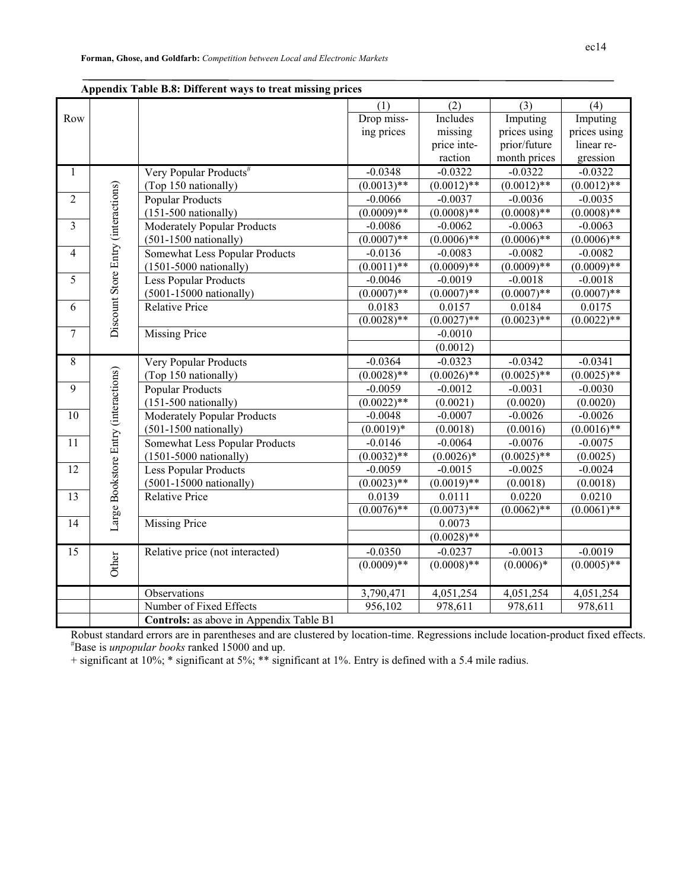|                         |                                      | дррсним тарк рю. Биктеп мауз со стеат шізмік ртісся |                          |               |                 |               |
|-------------------------|--------------------------------------|-----------------------------------------------------|--------------------------|---------------|-----------------|---------------|
|                         |                                      |                                                     | (1)                      | (2)           | (3)             | (4)           |
| Row                     |                                      |                                                     | Drop miss-               | Includes      | Imputing        | Imputing      |
|                         |                                      |                                                     | ing prices               | missing       | prices using    | prices using  |
|                         |                                      |                                                     |                          | price inte-   | prior/future    | linear re-    |
|                         |                                      |                                                     |                          | raction       | month prices    | gression      |
| $\mathbf{1}$            |                                      | Very Popular Products <sup>#</sup>                  | $-0.0348$                | $-0.0322$     | $-0.0322$       | $-0.0322$     |
|                         |                                      | (Top 150 nationally)                                | $(0.0013)$ **            | $(0.0012)$ ** | $(0.0012)$ **   | $(0.0012)$ ** |
| $\overline{2}$          |                                      | <b>Popular Products</b>                             | $-0.0066$                | $-0.0037$     | $-0.0036$       | $-0.0035$     |
|                         |                                      | $(151-500$ nationally)                              | $(0.0009)**$             | $(0.0008)$ ** | $(0.0008)$ **   | $(0.0008)$ ** |
| $\overline{\mathbf{3}}$ | Discount Store Entry (interactions)  | Moderately Popular Products                         | $-0.0086$                | $-0.0062$     | $-0.0063$       | $-0.0063$     |
|                         |                                      | $(501-1500$ nationally)                             | $(0.0007)$ **            | $(0.0006)$ ** | $(0.0006)$ **   | $(0.0006)$ ** |
| $\overline{\mathbf{4}}$ |                                      | <b>Somewhat Less Popular Products</b>               | $-0.0136$                | $-0.0083$     | $-0.0082$       | $-0.0082$     |
|                         |                                      | $(1501 - 5000 \text{ nationally})$                  | $(0.0011)$ **            | $(0.0009)$ ** | $(0.0009)$ **   | $(0.0009)$ ** |
| 5                       |                                      | Less Popular Products                               | $-0.0046$                | $-0.0019$     | $-0.0018$       | $-0.0018$     |
|                         |                                      | $(5001-15000 \text{ rationally})$                   | $(0.0007)$ **            | $(0.0007)$ ** | $(0.0007)$ **   | $(0.0007)$ ** |
| 6                       |                                      | <b>Relative Price</b>                               | 0.0183                   | 0.0157        | 0.0184          | 0.0175        |
|                         |                                      |                                                     | $(0.0028)$ **            | $(0.0027)$ ** | $(0.0023)^{**}$ | $(0.0022)$ ** |
| $\overline{7}$          |                                      | <b>Missing Price</b>                                |                          | $-0.0010$     |                 |               |
|                         |                                      |                                                     |                          | (0.0012)      |                 |               |
| 8                       |                                      | Very Popular Products                               | $-0.0364$                | $-0.0323$     | $-0.0342$       | $-0.0341$     |
|                         | Large Bookstore Entry (interactions) | (Top 150 nationally)                                | $\overline{(0.0028)}$ ** | $(0.0026)$ ** | $(0.0025)$ **   | $(0.0025)$ ** |
| 9                       |                                      | <b>Popular Products</b>                             | $-0.0059$                | $-0.0012$     | $-0.0031$       | $-0.0030$     |
|                         |                                      | $(151-500 \text{ nationally})$                      | $(0.0022)$ **            | (0.0021)      | (0.0020)        | (0.0020)      |
| 10                      |                                      | <b>Moderately Popular Products</b>                  | $-0.0048$                | $-0.0007$     | $-0.0026$       | $-0.0026$     |
|                         |                                      | $(501-1500$ nationally)                             | $(0.0019)*$              | (0.0018)      | (0.0016)        | $(0.0016)$ ** |
| 11                      |                                      | <b>Somewhat Less Popular Products</b>               | $-0.0146$                | $-0.0064$     | $-0.0076$       | $-0.0075$     |
|                         |                                      | $(1501 - 5000 \text{ nationally})$                  | $(0.0032)$ **            | $(0.0026)*$   | $(0.0025)^{**}$ | (0.0025)      |
| $\overline{12}$         |                                      | Less Popular Products                               | $-0.0059$                | $-0.0015$     | $-0.0025$       | $-0.0024$     |
|                         |                                      | $(5001-15000 \text{ rationally})$                   | $(0.0023)$ **            | $(0.0019)$ ** | (0.0018)        | (0.0018)      |
| 13                      |                                      | <b>Relative Price</b>                               | 0.0139                   | 0.0111        | 0.0220          | 0.0210        |
|                         |                                      |                                                     | $\overline{(0.0076)}$ ** | $(0.0073)$ ** | $(0.0062)$ **   | $(0.0061)$ ** |
| 14                      |                                      | <b>Missing Price</b>                                |                          | 0.0073        |                 |               |
|                         |                                      |                                                     |                          | $(0.0028)$ ** |                 |               |
| 15                      |                                      | Relative price (not interacted)                     | $-0.0350$                | $-0.0237$     | $-0.0013$       | $-0.0019$     |
|                         | Other                                |                                                     | $(0.0009)$ **            | $(0.0008)$ ** | $(0.0006)*$     | $(0.0005)$ ** |
|                         |                                      |                                                     |                          |               |                 |               |
|                         |                                      | Observations                                        | 3,790,471                | 4,051,254     | 4,051,254       | 4,051,254     |
|                         |                                      | Number of Fixed Effects                             | 956,102                  | 978,611       | 978,611         | 978,611       |
|                         |                                      | Controls: as above in Appendix Table B1             |                          |               |                 |               |
|                         |                                      |                                                     |                          |               |                 |               |

Robust standard errors are in parentheses and are clustered by location-time. Regressions include location-product fixed effects. # Base is *unpopular books* ranked 15000 and up.

+ significant at 10%; \* significant at 5%; \*\* significant at 1%. Entry is defined with a 5.4 mile radius.